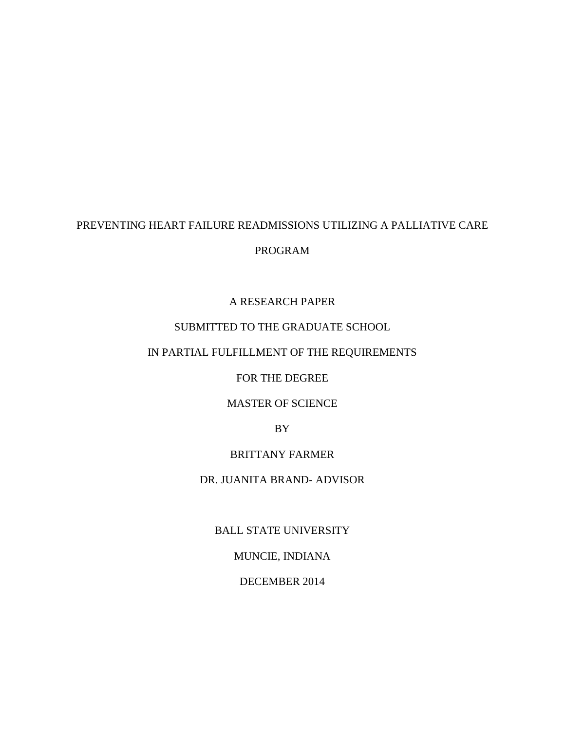## PREVENTING HEART FAILURE READMISSIONS UTILIZING A PALLIATIVE CARE

## PROGRAM

### A RESEARCH PAPER

### SUBMITTED TO THE GRADUATE SCHOOL

# IN PARTIAL FULFILLMENT OF THE REQUIREMENTS

### FOR THE DEGREE

## MASTER OF SCIENCE

### BY

## BRITTANY FARMER

### DR. JUANITA BRAND- ADVISOR

## BALL STATE UNIVERSITY

## MUNCIE, INDIANA

## DECEMBER 2014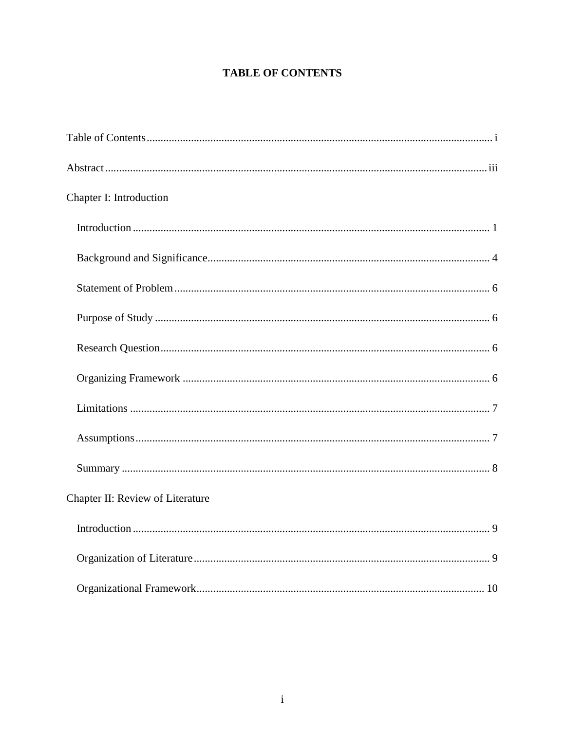# **TABLE OF CONTENTS**

<span id="page-1-0"></span>

| Chapter I: Introduction          |  |
|----------------------------------|--|
|                                  |  |
|                                  |  |
|                                  |  |
|                                  |  |
|                                  |  |
|                                  |  |
|                                  |  |
|                                  |  |
|                                  |  |
| Chapter II: Review of Literature |  |
|                                  |  |
|                                  |  |
|                                  |  |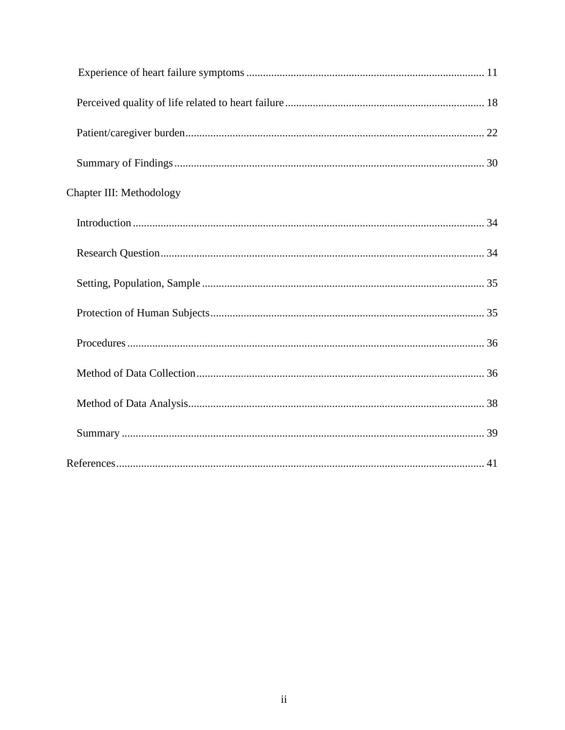| Chapter III: Methodology |  |
|--------------------------|--|
|                          |  |
|                          |  |
|                          |  |
|                          |  |
|                          |  |
|                          |  |
|                          |  |
|                          |  |
|                          |  |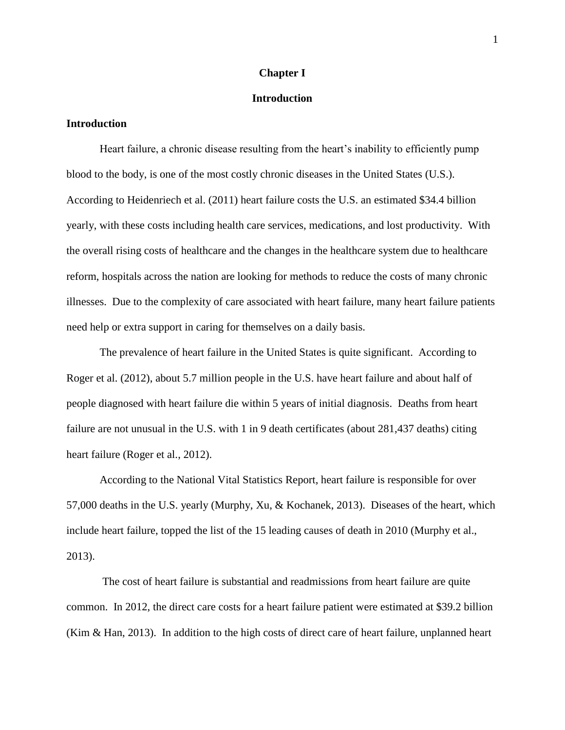#### **Chapter I**

### **Introduction**

### <span id="page-3-1"></span><span id="page-3-0"></span>**Introduction**

Heart failure, a chronic disease resulting from the heart's inability to efficiently pump blood to the body, is one of the most costly chronic diseases in the United States (U.S.). According to Heidenriech et al. (2011) heart failure costs the U.S. an estimated \$34.4 billion yearly, with these costs including health care services, medications, and lost productivity. With the overall rising costs of healthcare and the changes in the healthcare system due to healthcare reform, hospitals across the nation are looking for methods to reduce the costs of many chronic illnesses. Due to the complexity of care associated with heart failure, many heart failure patients need help or extra support in caring for themselves on a daily basis.

The prevalence of heart failure in the United States is quite significant. According to Roger et al. (2012), about 5.7 million people in the U.S. have heart failure and about half of people diagnosed with heart failure die within 5 years of initial diagnosis. Deaths from heart failure are not unusual in the U.S. with 1 in 9 death certificates (about 281,437 deaths) citing heart failure (Roger et al., 2012).

According to the National Vital Statistics Report, heart failure is responsible for over 57,000 deaths in the U.S. yearly (Murphy, Xu, & Kochanek, 2013). Diseases of the heart, which include heart failure, topped the list of the 15 leading causes of death in 2010 (Murphy et al., 2013).

The cost of heart failure is substantial and readmissions from heart failure are quite common. In 2012, the direct care costs for a heart failure patient were estimated at \$39.2 billion (Kim & Han, 2013). In addition to the high costs of direct care of heart failure, unplanned heart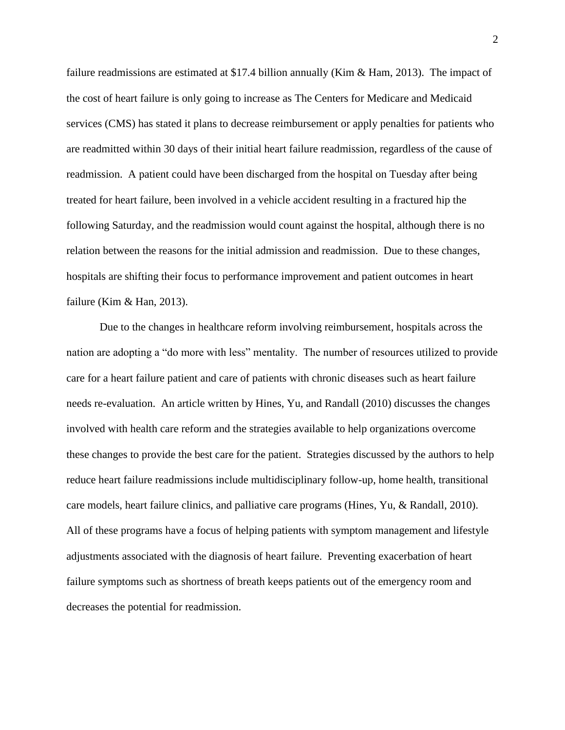failure readmissions are estimated at \$17.4 billion annually (Kim & Ham, 2013). The impact of the cost of heart failure is only going to increase as The Centers for Medicare and Medicaid services (CMS) has stated it plans to decrease reimbursement or apply penalties for patients who are readmitted within 30 days of their initial heart failure readmission, regardless of the cause of readmission. A patient could have been discharged from the hospital on Tuesday after being treated for heart failure, been involved in a vehicle accident resulting in a fractured hip the following Saturday, and the readmission would count against the hospital, although there is no relation between the reasons for the initial admission and readmission. Due to these changes, hospitals are shifting their focus to performance improvement and patient outcomes in heart failure (Kim & Han, 2013).

Due to the changes in healthcare reform involving reimbursement, hospitals across the nation are adopting a "do more with less" mentality. The number of resources utilized to provide care for a heart failure patient and care of patients with chronic diseases such as heart failure needs re-evaluation. An article written by Hines, Yu, and Randall (2010) discusses the changes involved with health care reform and the strategies available to help organizations overcome these changes to provide the best care for the patient. Strategies discussed by the authors to help reduce heart failure readmissions include multidisciplinary follow-up, home health, transitional care models, heart failure clinics, and palliative care programs (Hines, Yu, & Randall, 2010). All of these programs have a focus of helping patients with symptom management and lifestyle adjustments associated with the diagnosis of heart failure. Preventing exacerbation of heart failure symptoms such as shortness of breath keeps patients out of the emergency room and decreases the potential for readmission.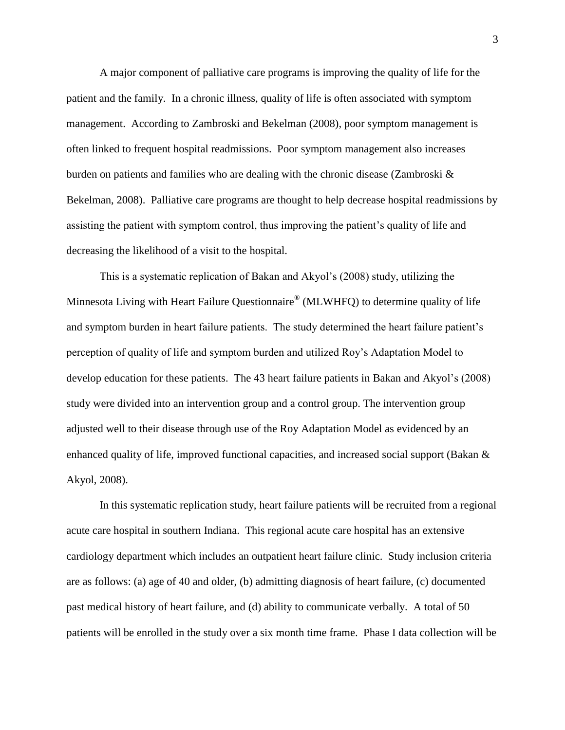A major component of palliative care programs is improving the quality of life for the patient and the family. In a chronic illness, quality of life is often associated with symptom management. According to Zambroski and Bekelman (2008), poor symptom management is often linked to frequent hospital readmissions. Poor symptom management also increases burden on patients and families who are dealing with the chronic disease (Zambroski & Bekelman, 2008). Palliative care programs are thought to help decrease hospital readmissions by assisting the patient with symptom control, thus improving the patient's quality of life and decreasing the likelihood of a visit to the hospital.

This is a systematic replication of Bakan and Akyol's (2008) study, utilizing the Minnesota Living with Heart Failure Questionnaire® (MLWHFQ) to determine quality of life and symptom burden in heart failure patients. The study determined the heart failure patient's perception of quality of life and symptom burden and utilized Roy's Adaptation Model to develop education for these patients. The 43 heart failure patients in Bakan and Akyol's (2008) study were divided into an intervention group and a control group. The intervention group adjusted well to their disease through use of the Roy Adaptation Model as evidenced by an enhanced quality of life, improved functional capacities, and increased social support (Bakan & Akyol, 2008).

In this systematic replication study, heart failure patients will be recruited from a regional acute care hospital in southern Indiana. This regional acute care hospital has an extensive cardiology department which includes an outpatient heart failure clinic. Study inclusion criteria are as follows: (a) age of 40 and older, (b) admitting diagnosis of heart failure, (c) documented past medical history of heart failure, and (d) ability to communicate verbally. A total of 50 patients will be enrolled in the study over a six month time frame. Phase I data collection will be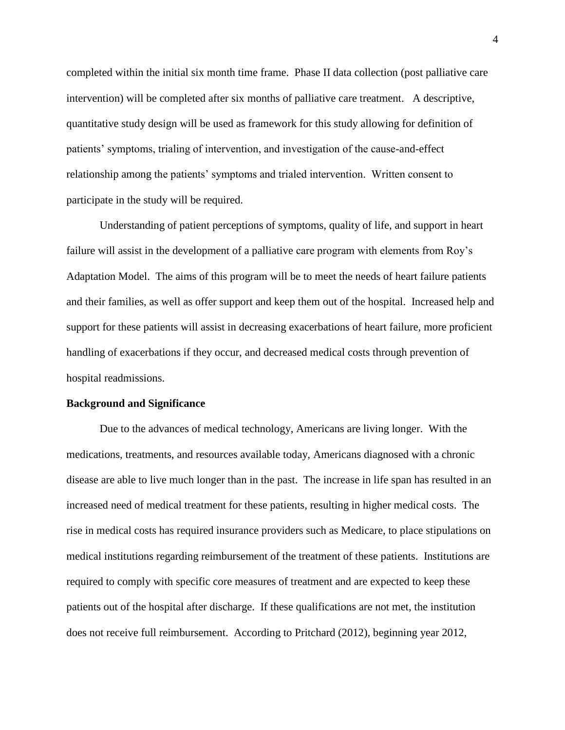completed within the initial six month time frame. Phase II data collection (post palliative care intervention) will be completed after six months of palliative care treatment. A descriptive, quantitative study design will be used as framework for this study allowing for definition of patients' symptoms, trialing of intervention, and investigation of the cause-and-effect relationship among the patients' symptoms and trialed intervention. Written consent to participate in the study will be required.

Understanding of patient perceptions of symptoms, quality of life, and support in heart failure will assist in the development of a palliative care program with elements from Roy's Adaptation Model. The aims of this program will be to meet the needs of heart failure patients and their families, as well as offer support and keep them out of the hospital. Increased help and support for these patients will assist in decreasing exacerbations of heart failure, more proficient handling of exacerbations if they occur, and decreased medical costs through prevention of hospital readmissions.

#### <span id="page-6-0"></span>**Background and Significance**

Due to the advances of medical technology, Americans are living longer. With the medications, treatments, and resources available today, Americans diagnosed with a chronic disease are able to live much longer than in the past. The increase in life span has resulted in an increased need of medical treatment for these patients, resulting in higher medical costs. The rise in medical costs has required insurance providers such as Medicare, to place stipulations on medical institutions regarding reimbursement of the treatment of these patients. Institutions are required to comply with specific core measures of treatment and are expected to keep these patients out of the hospital after discharge. If these qualifications are not met, the institution does not receive full reimbursement. According to Pritchard (2012), beginning year 2012,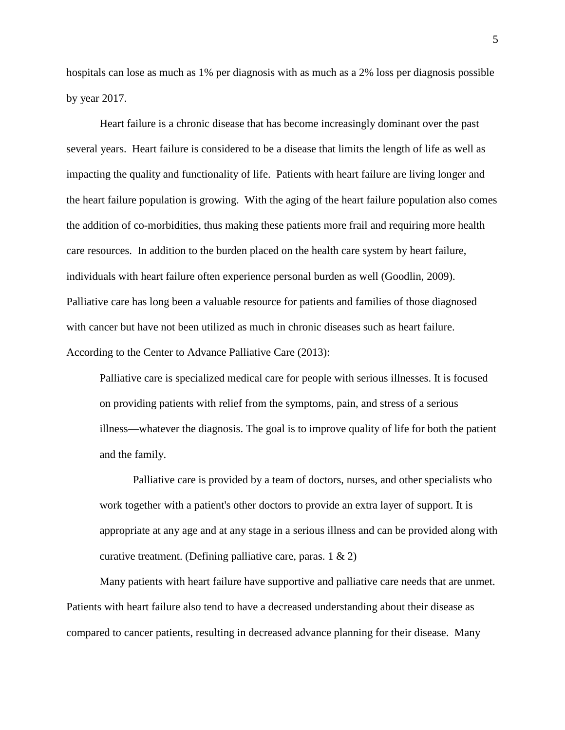hospitals can lose as much as 1% per diagnosis with as much as a 2% loss per diagnosis possible by year 2017.

Heart failure is a chronic disease that has become increasingly dominant over the past several years. Heart failure is considered to be a disease that limits the length of life as well as impacting the quality and functionality of life. Patients with heart failure are living longer and the heart failure population is growing. With the aging of the heart failure population also comes the addition of co-morbidities, thus making these patients more frail and requiring more health care resources. In addition to the burden placed on the health care system by heart failure, individuals with heart failure often experience personal burden as well (Goodlin, 2009). Palliative care has long been a valuable resource for patients and families of those diagnosed with cancer but have not been utilized as much in chronic diseases such as heart failure. According to the Center to Advance Palliative Care (2013):

Palliative care is specialized medical care for people with serious illnesses. It is focused on providing patients with relief from the symptoms, pain, and stress of a serious illness—whatever the diagnosis. The goal is to improve quality of life for both the patient and the family.

Palliative care is provided by a team of doctors, nurses, and other specialists who work together with a patient's other doctors to provide an extra layer of support. It is appropriate at any age and at any stage in a serious illness and can be provided along with curative treatment. (Defining palliative care, paras.  $1 \& 2$ )

Many patients with heart failure have supportive and palliative care needs that are unmet. Patients with heart failure also tend to have a decreased understanding about their disease as compared to cancer patients, resulting in decreased advance planning for their disease. Many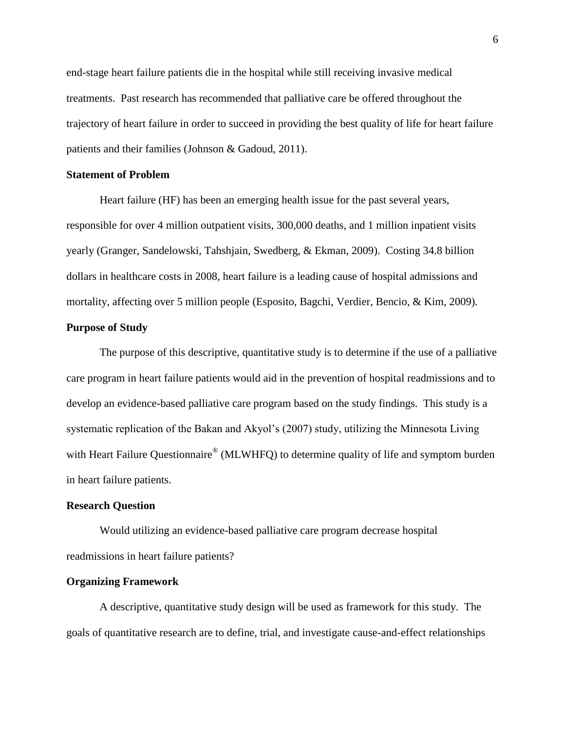end-stage heart failure patients die in the hospital while still receiving invasive medical treatments. Past research has recommended that palliative care be offered throughout the trajectory of heart failure in order to succeed in providing the best quality of life for heart failure patients and their families (Johnson & Gadoud, 2011).

#### <span id="page-8-0"></span>**Statement of Problem**

Heart failure (HF) has been an emerging health issue for the past several years, responsible for over 4 million outpatient visits, 300,000 deaths, and 1 million inpatient visits yearly (Granger, Sandelowski, Tahshjain, Swedberg, & Ekman, 2009). Costing 34.8 billion dollars in healthcare costs in 2008, heart failure is a leading cause of hospital admissions and mortality, affecting over 5 million people (Esposito, Bagchi, Verdier, Bencio, & Kim, 2009).

#### <span id="page-8-1"></span>**Purpose of Study**

The purpose of this descriptive, quantitative study is to determine if the use of a palliative care program in heart failure patients would aid in the prevention of hospital readmissions and to develop an evidence-based palliative care program based on the study findings. This study is a systematic replication of the Bakan and Akyol's (2007) study, utilizing the Minnesota Living with Heart Failure Questionnaire® (MLWHFQ) to determine quality of life and symptom burden in heart failure patients.

#### <span id="page-8-2"></span>**Research Question**

Would utilizing an evidence-based palliative care program decrease hospital readmissions in heart failure patients?

#### <span id="page-8-3"></span>**Organizing Framework**

A descriptive, quantitative study design will be used as framework for this study. The goals of quantitative research are to define, trial, and investigate cause-and-effect relationships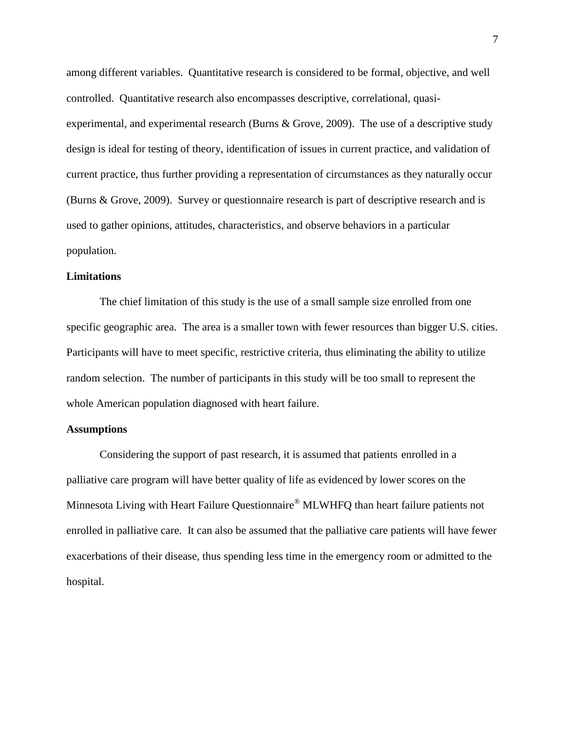among different variables. Quantitative research is considered to be formal, objective, and well controlled. Quantitative research also encompasses descriptive, correlational, quasiexperimental, and experimental research (Burns & Grove, 2009). The use of a descriptive study design is ideal for testing of theory, identification of issues in current practice, and validation of current practice, thus further providing a representation of circumstances as they naturally occur (Burns & Grove, 2009). Survey or questionnaire research is part of descriptive research and is used to gather opinions, attitudes, characteristics, and observe behaviors in a particular population.

### <span id="page-9-0"></span>**Limitations**

The chief limitation of this study is the use of a small sample size enrolled from one specific geographic area. The area is a smaller town with fewer resources than bigger U.S. cities. Participants will have to meet specific, restrictive criteria, thus eliminating the ability to utilize random selection. The number of participants in this study will be too small to represent the whole American population diagnosed with heart failure.

#### <span id="page-9-1"></span>**Assumptions**

<span id="page-9-2"></span>Considering the support of past research, it is assumed that patients enrolled in a palliative care program will have better quality of life as evidenced by lower scores on the Minnesota Living with Heart Failure Questionnaire® MLWHFQ than heart failure patients not enrolled in palliative care. It can also be assumed that the palliative care patients will have fewer exacerbations of their disease, thus spending less time in the emergency room or admitted to the hospital.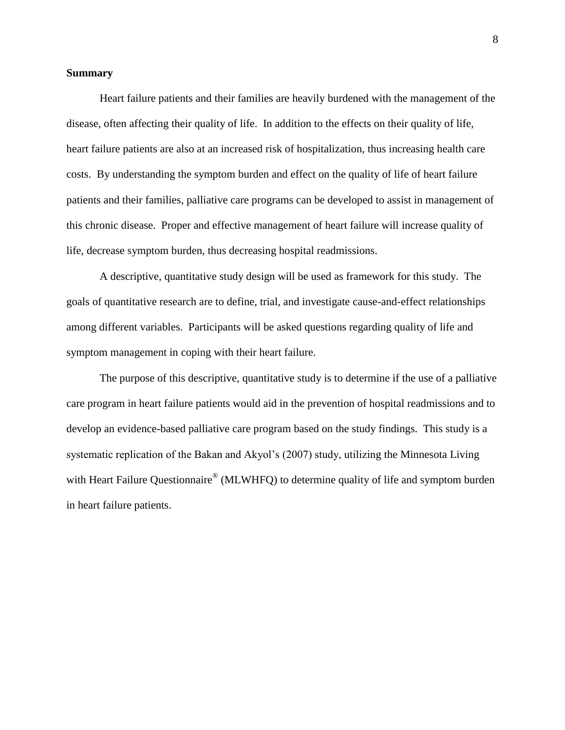#### **Summary**

Heart failure patients and their families are heavily burdened with the management of the disease, often affecting their quality of life. In addition to the effects on their quality of life, heart failure patients are also at an increased risk of hospitalization, thus increasing health care costs. By understanding the symptom burden and effect on the quality of life of heart failure patients and their families, palliative care programs can be developed to assist in management of this chronic disease. Proper and effective management of heart failure will increase quality of life, decrease symptom burden, thus decreasing hospital readmissions.

A descriptive, quantitative study design will be used as framework for this study. The goals of quantitative research are to define, trial, and investigate cause-and-effect relationships among different variables. Participants will be asked questions regarding quality of life and symptom management in coping with their heart failure.

The purpose of this descriptive, quantitative study is to determine if the use of a palliative care program in heart failure patients would aid in the prevention of hospital readmissions and to develop an evidence-based palliative care program based on the study findings. This study is a systematic replication of the Bakan and Akyol's (2007) study, utilizing the Minnesota Living with Heart Failure Questionnaire® (MLWHFQ) to determine quality of life and symptom burden in heart failure patients.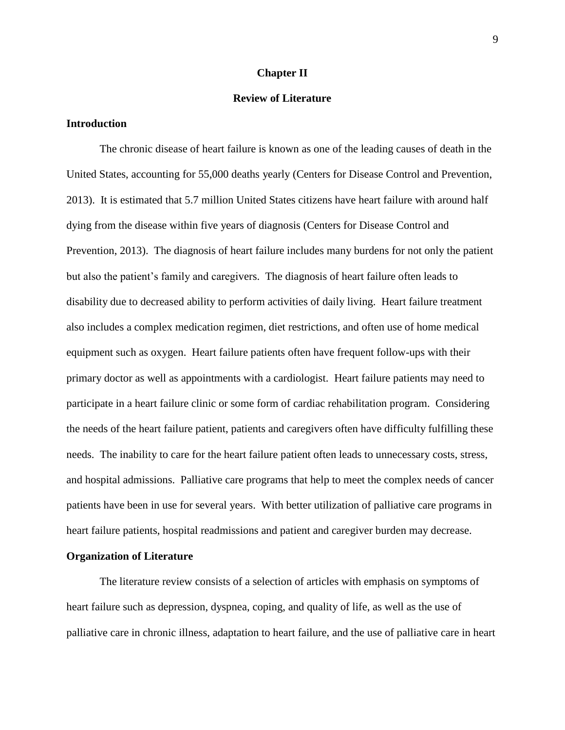#### **Chapter II**

### **Review of Literature**

### <span id="page-11-1"></span><span id="page-11-0"></span>**Introduction**

The chronic disease of heart failure is known as one of the leading causes of death in the United States, accounting for 55,000 deaths yearly (Centers for Disease Control and Prevention, 2013). It is estimated that 5.7 million United States citizens have heart failure with around half dying from the disease within five years of diagnosis (Centers for Disease Control and Prevention, 2013). The diagnosis of heart failure includes many burdens for not only the patient but also the patient's family and caregivers. The diagnosis of heart failure often leads to disability due to decreased ability to perform activities of daily living. Heart failure treatment also includes a complex medication regimen, diet restrictions, and often use of home medical equipment such as oxygen. Heart failure patients often have frequent follow-ups with their primary doctor as well as appointments with a cardiologist. Heart failure patients may need to participate in a heart failure clinic or some form of cardiac rehabilitation program. Considering the needs of the heart failure patient, patients and caregivers often have difficulty fulfilling these needs. The inability to care for the heart failure patient often leads to unnecessary costs, stress, and hospital admissions. Palliative care programs that help to meet the complex needs of cancer patients have been in use for several years. With better utilization of palliative care programs in heart failure patients, hospital readmissions and patient and caregiver burden may decrease.

#### <span id="page-11-2"></span>**Organization of Literature**

The literature review consists of a selection of articles with emphasis on symptoms of heart failure such as depression, dyspnea, coping, and quality of life, as well as the use of palliative care in chronic illness, adaptation to heart failure, and the use of palliative care in heart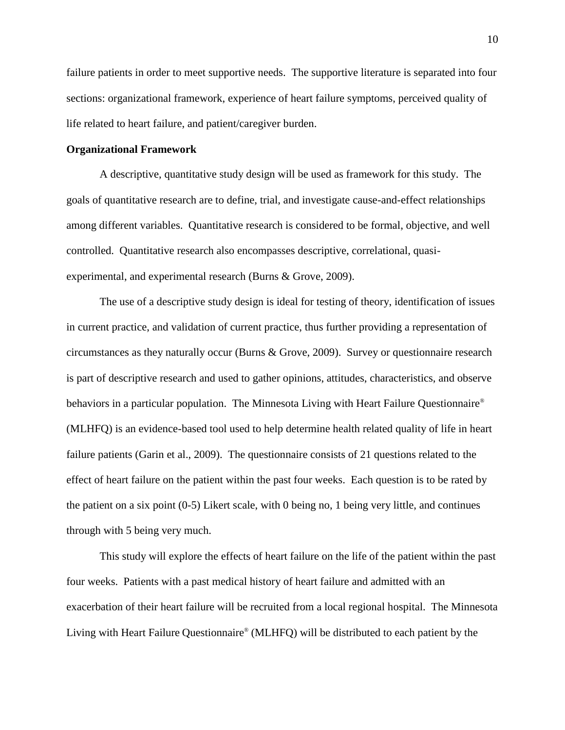failure patients in order to meet supportive needs. The supportive literature is separated into four sections: organizational framework, experience of heart failure symptoms, perceived quality of life related to heart failure, and patient/caregiver burden.

#### <span id="page-12-0"></span>**Organizational Framework**

A descriptive, quantitative study design will be used as framework for this study. The goals of quantitative research are to define, trial, and investigate cause-and-effect relationships among different variables. Quantitative research is considered to be formal, objective, and well controlled. Quantitative research also encompasses descriptive, correlational, quasiexperimental, and experimental research (Burns & Grove, 2009).

The use of a descriptive study design is ideal for testing of theory, identification of issues in current practice, and validation of current practice, thus further providing a representation of circumstances as they naturally occur (Burns & Grove, 2009). Survey or questionnaire research is part of descriptive research and used to gather opinions, attitudes, characteristics, and observe behaviors in a particular population. The Minnesota Living with Heart Failure Questionnaire® (MLHFQ) is an evidence-based tool used to help determine health related quality of life in heart failure patients (Garin et al., 2009). The questionnaire consists of 21 questions related to the effect of heart failure on the patient within the past four weeks. Each question is to be rated by the patient on a six point (0-5) Likert scale, with 0 being no, 1 being very little, and continues through with 5 being very much.

This study will explore the effects of heart failure on the life of the patient within the past four weeks. Patients with a past medical history of heart failure and admitted with an exacerbation of their heart failure will be recruited from a local regional hospital. The Minnesota Living with Heart Failure Questionnaire® (MLHFQ) will be distributed to each patient by the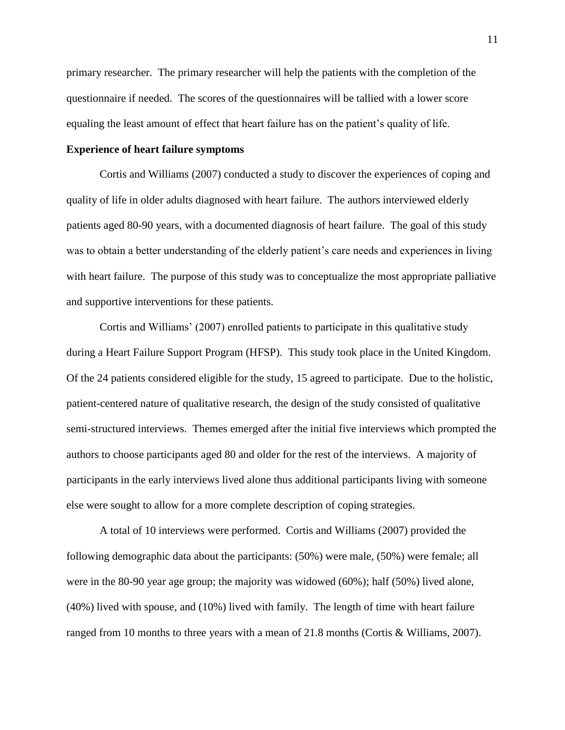primary researcher. The primary researcher will help the patients with the completion of the questionnaire if needed. The scores of the questionnaires will be tallied with a lower score equaling the least amount of effect that heart failure has on the patient's quality of life.

#### <span id="page-13-0"></span>**Experience of heart failure symptoms**

Cortis and Williams (2007) conducted a study to discover the experiences of coping and quality of life in older adults diagnosed with heart failure. The authors interviewed elderly patients aged 80-90 years, with a documented diagnosis of heart failure. The goal of this study was to obtain a better understanding of the elderly patient's care needs and experiences in living with heart failure. The purpose of this study was to conceptualize the most appropriate palliative and supportive interventions for these patients.

Cortis and Williams' (2007) enrolled patients to participate in this qualitative study during a Heart Failure Support Program (HFSP). This study took place in the United Kingdom. Of the 24 patients considered eligible for the study, 15 agreed to participate. Due to the holistic, patient-centered nature of qualitative research, the design of the study consisted of qualitative semi-structured interviews. Themes emerged after the initial five interviews which prompted the authors to choose participants aged 80 and older for the rest of the interviews. A majority of participants in the early interviews lived alone thus additional participants living with someone else were sought to allow for a more complete description of coping strategies.

A total of 10 interviews were performed. Cortis and Williams (2007) provided the following demographic data about the participants: (50%) were male, (50%) were female; all were in the 80-90 year age group; the majority was widowed (60%); half (50%) lived alone, (40%) lived with spouse, and (10%) lived with family. The length of time with heart failure ranged from 10 months to three years with a mean of 21.8 months (Cortis & Williams, 2007).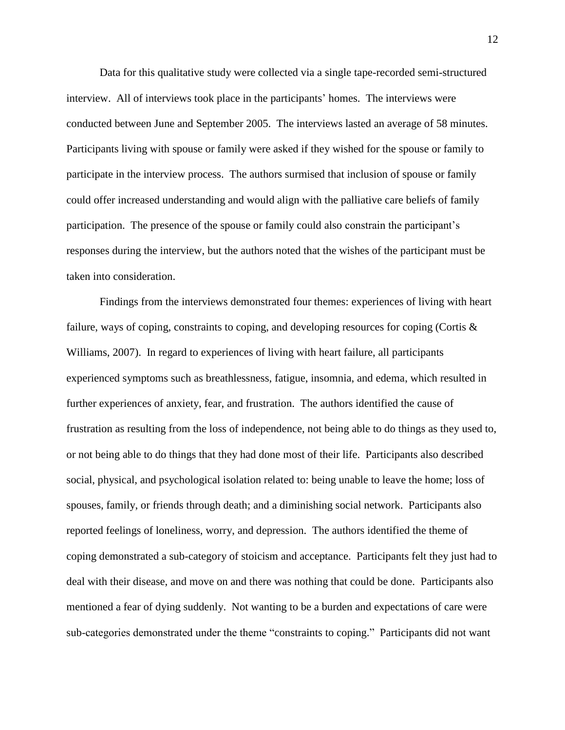Data for this qualitative study were collected via a single tape-recorded semi-structured interview. All of interviews took place in the participants' homes. The interviews were conducted between June and September 2005. The interviews lasted an average of 58 minutes. Participants living with spouse or family were asked if they wished for the spouse or family to participate in the interview process. The authors surmised that inclusion of spouse or family could offer increased understanding and would align with the palliative care beliefs of family participation. The presence of the spouse or family could also constrain the participant's responses during the interview, but the authors noted that the wishes of the participant must be taken into consideration.

Findings from the interviews demonstrated four themes: experiences of living with heart failure, ways of coping, constraints to coping, and developing resources for coping (Cortis & Williams, 2007). In regard to experiences of living with heart failure, all participants experienced symptoms such as breathlessness, fatigue, insomnia, and edema, which resulted in further experiences of anxiety, fear, and frustration. The authors identified the cause of frustration as resulting from the loss of independence, not being able to do things as they used to, or not being able to do things that they had done most of their life. Participants also described social, physical, and psychological isolation related to: being unable to leave the home; loss of spouses, family, or friends through death; and a diminishing social network. Participants also reported feelings of loneliness, worry, and depression. The authors identified the theme of coping demonstrated a sub-category of stoicism and acceptance. Participants felt they just had to deal with their disease, and move on and there was nothing that could be done. Participants also mentioned a fear of dying suddenly. Not wanting to be a burden and expectations of care were sub-categories demonstrated under the theme "constraints to coping." Participants did not want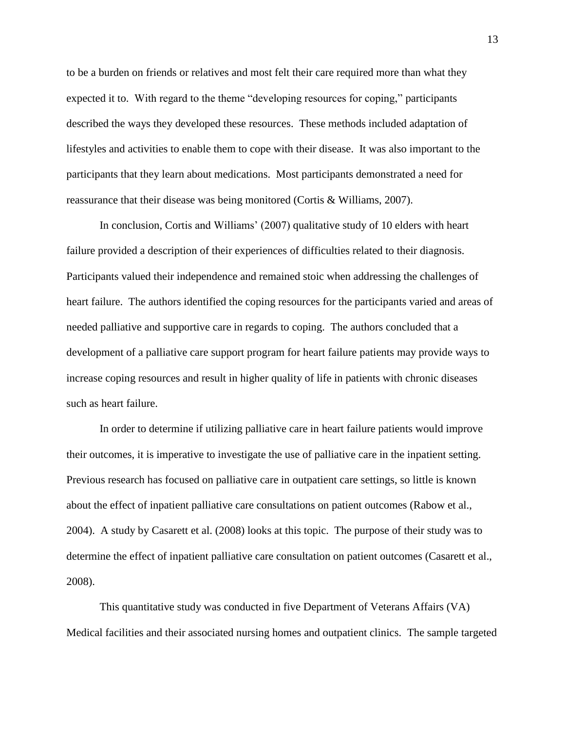to be a burden on friends or relatives and most felt their care required more than what they expected it to. With regard to the theme "developing resources for coping," participants described the ways they developed these resources. These methods included adaptation of lifestyles and activities to enable them to cope with their disease. It was also important to the participants that they learn about medications. Most participants demonstrated a need for reassurance that their disease was being monitored (Cortis & Williams, 2007).

In conclusion, Cortis and Williams' (2007) qualitative study of 10 elders with heart failure provided a description of their experiences of difficulties related to their diagnosis. Participants valued their independence and remained stoic when addressing the challenges of heart failure. The authors identified the coping resources for the participants varied and areas of needed palliative and supportive care in regards to coping. The authors concluded that a development of a palliative care support program for heart failure patients may provide ways to increase coping resources and result in higher quality of life in patients with chronic diseases such as heart failure.

In order to determine if utilizing palliative care in heart failure patients would improve their outcomes, it is imperative to investigate the use of palliative care in the inpatient setting. Previous research has focused on palliative care in outpatient care settings, so little is known about the effect of inpatient palliative care consultations on patient outcomes (Rabow et al., 2004). A study by Casarett et al. (2008) looks at this topic. The purpose of their study was to determine the effect of inpatient palliative care consultation on patient outcomes (Casarett et al., 2008).

This quantitative study was conducted in five Department of Veterans Affairs (VA) Medical facilities and their associated nursing homes and outpatient clinics. The sample targeted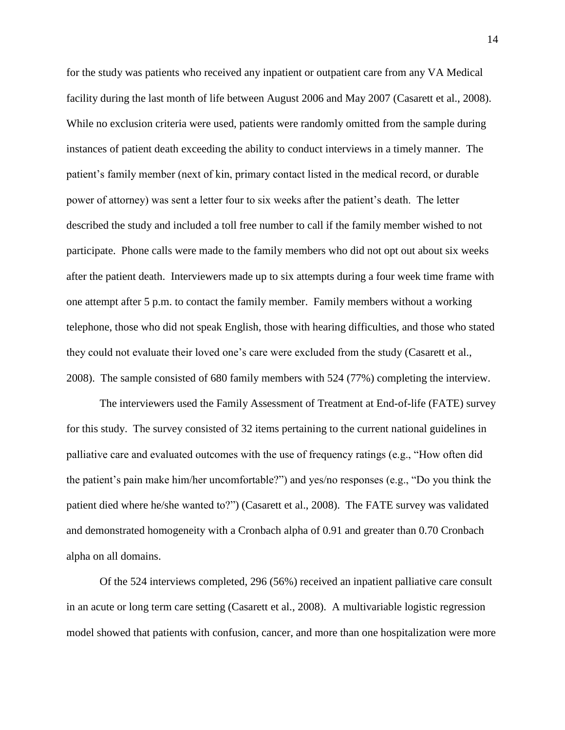for the study was patients who received any inpatient or outpatient care from any VA Medical facility during the last month of life between August 2006 and May 2007 (Casarett et al., 2008). While no exclusion criteria were used, patients were randomly omitted from the sample during instances of patient death exceeding the ability to conduct interviews in a timely manner. The patient's family member (next of kin, primary contact listed in the medical record, or durable power of attorney) was sent a letter four to six weeks after the patient's death. The letter described the study and included a toll free number to call if the family member wished to not participate. Phone calls were made to the family members who did not opt out about six weeks after the patient death. Interviewers made up to six attempts during a four week time frame with one attempt after 5 p.m. to contact the family member. Family members without a working telephone, those who did not speak English, those with hearing difficulties, and those who stated they could not evaluate their loved one's care were excluded from the study (Casarett et al., 2008). The sample consisted of 680 family members with 524 (77%) completing the interview.

The interviewers used the Family Assessment of Treatment at End-of-life (FATE) survey for this study. The survey consisted of 32 items pertaining to the current national guidelines in palliative care and evaluated outcomes with the use of frequency ratings (e.g., "How often did the patient's pain make him/her uncomfortable?") and yes/no responses (e.g., "Do you think the patient died where he/she wanted to?") (Casarett et al., 2008). The FATE survey was validated and demonstrated homogeneity with a Cronbach alpha of 0.91 and greater than 0.70 Cronbach alpha on all domains.

Of the 524 interviews completed, 296 (56%) received an inpatient palliative care consult in an acute or long term care setting (Casarett et al., 2008). A multivariable logistic regression model showed that patients with confusion, cancer, and more than one hospitalization were more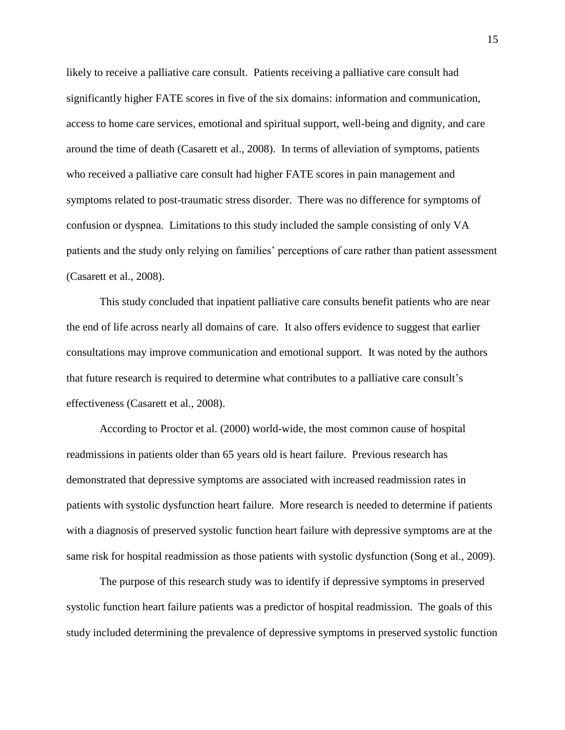likely to receive a palliative care consult. Patients receiving a palliative care consult had significantly higher FATE scores in five of the six domains: information and communication, access to home care services, emotional and spiritual support, well-being and dignity, and care around the time of death (Casarett et al., 2008). In terms of alleviation of symptoms, patients who received a palliative care consult had higher FATE scores in pain management and symptoms related to post-traumatic stress disorder. There was no difference for symptoms of confusion or dyspnea. Limitations to this study included the sample consisting of only VA patients and the study only relying on families' perceptions of care rather than patient assessment (Casarett et al., 2008).

This study concluded that inpatient palliative care consults benefit patients who are near the end of life across nearly all domains of care. It also offers evidence to suggest that earlier consultations may improve communication and emotional support. It was noted by the authors that future research is required to determine what contributes to a palliative care consult's effectiveness (Casarett et al., 2008).

According to Proctor et al. (2000) world-wide, the most common cause of hospital readmissions in patients older than 65 years old is heart failure. Previous research has demonstrated that depressive symptoms are associated with increased readmission rates in patients with systolic dysfunction heart failure. More research is needed to determine if patients with a diagnosis of preserved systolic function heart failure with depressive symptoms are at the same risk for hospital readmission as those patients with systolic dysfunction (Song et al., 2009).

The purpose of this research study was to identify if depressive symptoms in preserved systolic function heart failure patients was a predictor of hospital readmission. The goals of this study included determining the prevalence of depressive symptoms in preserved systolic function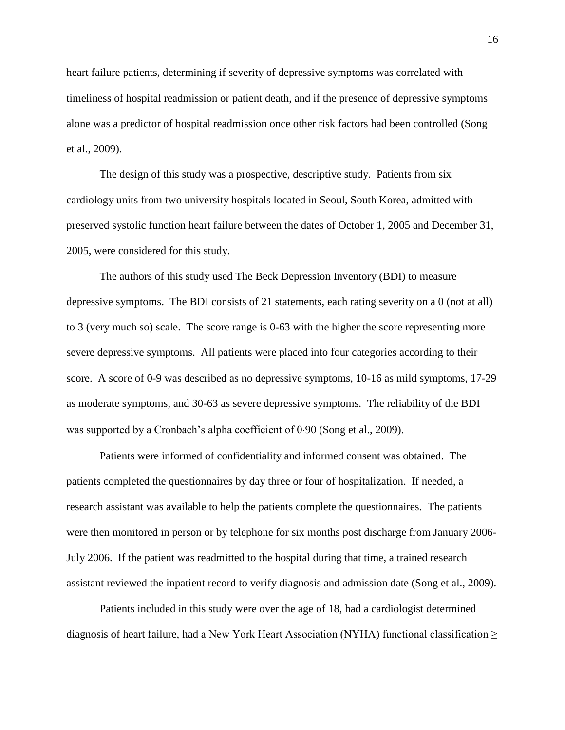heart failure patients, determining if severity of depressive symptoms was correlated with timeliness of hospital readmission or patient death, and if the presence of depressive symptoms alone was a predictor of hospital readmission once other risk factors had been controlled (Song et al., 2009).

The design of this study was a prospective, descriptive study. Patients from six cardiology units from two university hospitals located in Seoul, South Korea, admitted with preserved systolic function heart failure between the dates of October 1, 2005 and December 31, 2005, were considered for this study.

The authors of this study used The Beck Depression Inventory (BDI) to measure depressive symptoms. The BDI consists of 21 statements, each rating severity on a 0 (not at all) to 3 (very much so) scale. The score range is 0-63 with the higher the score representing more severe depressive symptoms. All patients were placed into four categories according to their score. A score of 0-9 was described as no depressive symptoms, 10-16 as mild symptoms, 17-29 as moderate symptoms, and 30-63 as severe depressive symptoms. The reliability of the BDI was supported by a Cronbach's alpha coefficient of 0.90 (Song et al., 2009).

Patients were informed of confidentiality and informed consent was obtained. The patients completed the questionnaires by day three or four of hospitalization. If needed, a research assistant was available to help the patients complete the questionnaires. The patients were then monitored in person or by telephone for six months post discharge from January 2006- July 2006. If the patient was readmitted to the hospital during that time, a trained research assistant reviewed the inpatient record to verify diagnosis and admission date (Song et al., 2009).

Patients included in this study were over the age of 18, had a cardiologist determined diagnosis of heart failure, had a New York Heart Association (NYHA) functional classification  $\geq$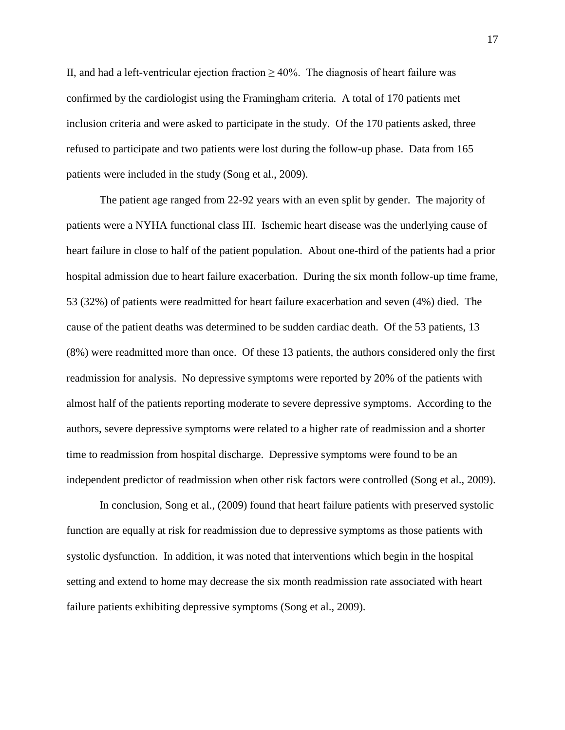II, and had a left-ventricular ejection fraction  $\geq 40\%$ . The diagnosis of heart failure was confirmed by the cardiologist using the Framingham criteria. A total of 170 patients met inclusion criteria and were asked to participate in the study. Of the 170 patients asked, three refused to participate and two patients were lost during the follow-up phase. Data from 165 patients were included in the study (Song et al., 2009).

The patient age ranged from 22-92 years with an even split by gender. The majority of patients were a NYHA functional class III. Ischemic heart disease was the underlying cause of heart failure in close to half of the patient population. About one-third of the patients had a prior hospital admission due to heart failure exacerbation. During the six month follow-up time frame, 53 (32%) of patients were readmitted for heart failure exacerbation and seven (4%) died. The cause of the patient deaths was determined to be sudden cardiac death. Of the 53 patients, 13 (8%) were readmitted more than once. Of these 13 patients, the authors considered only the first readmission for analysis. No depressive symptoms were reported by 20% of the patients with almost half of the patients reporting moderate to severe depressive symptoms. According to the authors, severe depressive symptoms were related to a higher rate of readmission and a shorter time to readmission from hospital discharge. Depressive symptoms were found to be an independent predictor of readmission when other risk factors were controlled (Song et al., 2009).

In conclusion, Song et al., (2009) found that heart failure patients with preserved systolic function are equally at risk for readmission due to depressive symptoms as those patients with systolic dysfunction. In addition, it was noted that interventions which begin in the hospital setting and extend to home may decrease the six month readmission rate associated with heart failure patients exhibiting depressive symptoms (Song et al., 2009).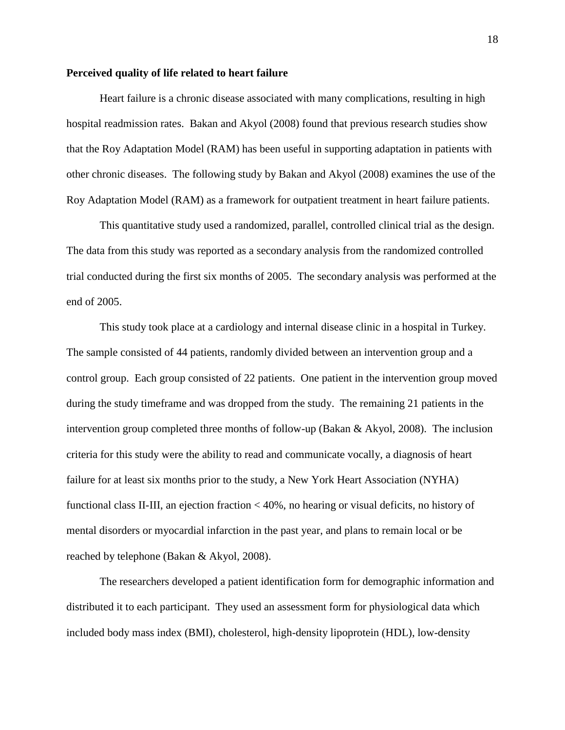#### <span id="page-20-0"></span>**Perceived quality of life related to heart failure**

Heart failure is a chronic disease associated with many complications, resulting in high hospital readmission rates. Bakan and Akyol (2008) found that previous research studies show that the Roy Adaptation Model (RAM) has been useful in supporting adaptation in patients with other chronic diseases. The following study by Bakan and Akyol (2008) examines the use of the Roy Adaptation Model (RAM) as a framework for outpatient treatment in heart failure patients.

This quantitative study used a randomized, parallel, controlled clinical trial as the design. The data from this study was reported as a secondary analysis from the randomized controlled trial conducted during the first six months of 2005. The secondary analysis was performed at the end of 2005.

This study took place at a cardiology and internal disease clinic in a hospital in Turkey. The sample consisted of 44 patients, randomly divided between an intervention group and a control group. Each group consisted of 22 patients. One patient in the intervention group moved during the study timeframe and was dropped from the study. The remaining 21 patients in the intervention group completed three months of follow-up (Bakan & Akyol, 2008). The inclusion criteria for this study were the ability to read and communicate vocally, a diagnosis of heart failure for at least six months prior to the study, a New York Heart Association (NYHA) functional class II-III, an ejection fraction < 40%, no hearing or visual deficits, no history of mental disorders or myocardial infarction in the past year, and plans to remain local or be reached by telephone (Bakan & Akyol, 2008).

The researchers developed a patient identification form for demographic information and distributed it to each participant. They used an assessment form for physiological data which included body mass index (BMI), cholesterol, high-density lipoprotein (HDL), low-density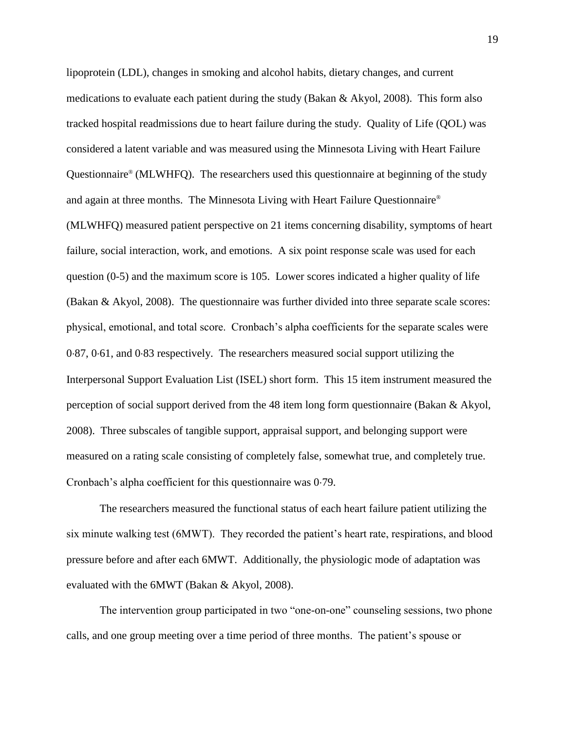lipoprotein (LDL), changes in smoking and alcohol habits, dietary changes, and current medications to evaluate each patient during the study (Bakan & Akyol, 2008). This form also tracked hospital readmissions due to heart failure during the study. Quality of Life (QOL) was considered a latent variable and was measured using the Minnesota Living with Heart Failure Questionnaire® (MLWHFQ). The researchers used this questionnaire at beginning of the study and again at three months. The Minnesota Living with Heart Failure Questionnaire® (MLWHFQ) measured patient perspective on 21 items concerning disability, symptoms of heart failure, social interaction, work, and emotions. A six point response scale was used for each question (0-5) and the maximum score is 105. Lower scores indicated a higher quality of life (Bakan & Akyol, 2008). The questionnaire was further divided into three separate scale scores: physical, emotional, and total score. Cronbach's alpha coefficients for the separate scales were 087, 061, and 083 respectively. The researchers measured social support utilizing the Interpersonal Support Evaluation List (ISEL) short form. This 15 item instrument measured the perception of social support derived from the 48 item long form questionnaire (Bakan & Akyol, 2008). Three subscales of tangible support, appraisal support, and belonging support were measured on a rating scale consisting of completely false, somewhat true, and completely true. Cronbach's alpha coefficient for this questionnaire was 079.

The researchers measured the functional status of each heart failure patient utilizing the six minute walking test (6MWT). They recorded the patient's heart rate, respirations, and blood pressure before and after each 6MWT. Additionally, the physiologic mode of adaptation was evaluated with the 6MWT (Bakan & Akyol, 2008).

The intervention group participated in two "one-on-one" counseling sessions, two phone calls, and one group meeting over a time period of three months. The patient's spouse or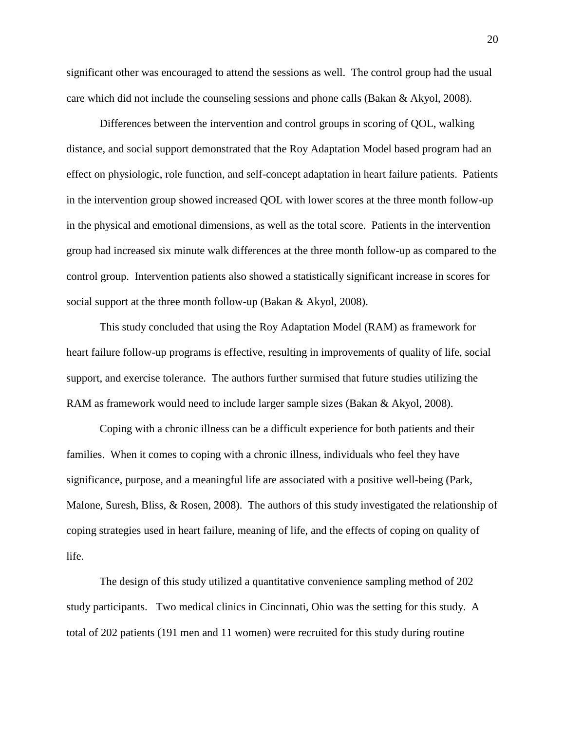significant other was encouraged to attend the sessions as well. The control group had the usual care which did not include the counseling sessions and phone calls (Bakan & Akyol, 2008).

Differences between the intervention and control groups in scoring of QOL, walking distance, and social support demonstrated that the Roy Adaptation Model based program had an effect on physiologic, role function, and self-concept adaptation in heart failure patients. Patients in the intervention group showed increased QOL with lower scores at the three month follow-up in the physical and emotional dimensions, as well as the total score. Patients in the intervention group had increased six minute walk differences at the three month follow-up as compared to the control group. Intervention patients also showed a statistically significant increase in scores for social support at the three month follow-up (Bakan & Akyol, 2008).

This study concluded that using the Roy Adaptation Model (RAM) as framework for heart failure follow-up programs is effective, resulting in improvements of quality of life, social support, and exercise tolerance. The authors further surmised that future studies utilizing the RAM as framework would need to include larger sample sizes (Bakan & Akyol, 2008).

Coping with a chronic illness can be a difficult experience for both patients and their families. When it comes to coping with a chronic illness, individuals who feel they have significance, purpose, and a meaningful life are associated with a positive well-being (Park, Malone, Suresh, Bliss, & Rosen, 2008). The authors of this study investigated the relationship of coping strategies used in heart failure, meaning of life, and the effects of coping on quality of life.

The design of this study utilized a quantitative convenience sampling method of 202 study participants. Two medical clinics in Cincinnati, Ohio was the setting for this study. A total of 202 patients (191 men and 11 women) were recruited for this study during routine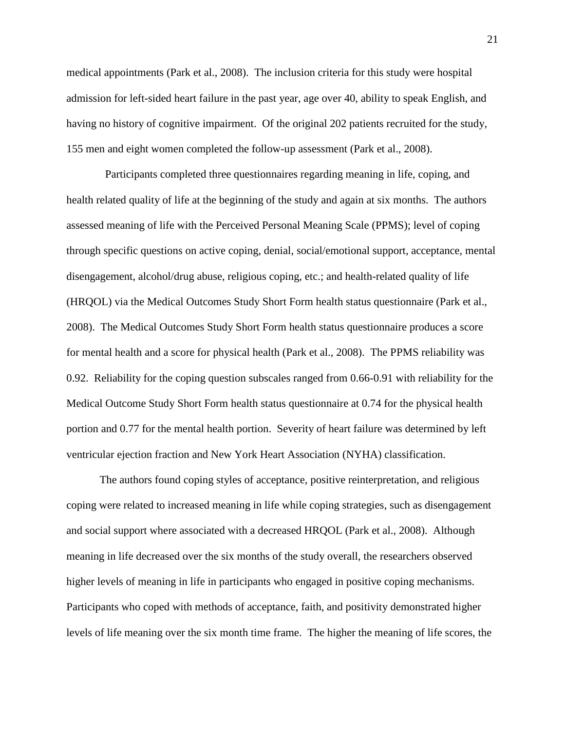medical appointments (Park et al., 2008). The inclusion criteria for this study were hospital admission for left-sided heart failure in the past year, age over 40, ability to speak English, and having no history of cognitive impairment. Of the original 202 patients recruited for the study, 155 men and eight women completed the follow-up assessment (Park et al., 2008).

 Participants completed three questionnaires regarding meaning in life, coping, and health related quality of life at the beginning of the study and again at six months. The authors assessed meaning of life with the Perceived Personal Meaning Scale (PPMS); level of coping through specific questions on active coping, denial, social/emotional support, acceptance, mental disengagement, alcohol/drug abuse, religious coping, etc.; and health-related quality of life (HRQOL) via the Medical Outcomes Study Short Form health status questionnaire (Park et al., 2008). The Medical Outcomes Study Short Form health status questionnaire produces a score for mental health and a score for physical health (Park et al., 2008). The PPMS reliability was 0.92. Reliability for the coping question subscales ranged from 0.66-0.91 with reliability for the Medical Outcome Study Short Form health status questionnaire at 0.74 for the physical health portion and 0.77 for the mental health portion. Severity of heart failure was determined by left ventricular ejection fraction and New York Heart Association (NYHA) classification.

The authors found coping styles of acceptance, positive reinterpretation, and religious coping were related to increased meaning in life while coping strategies, such as disengagement and social support where associated with a decreased HRQOL (Park et al., 2008). Although meaning in life decreased over the six months of the study overall, the researchers observed higher levels of meaning in life in participants who engaged in positive coping mechanisms. Participants who coped with methods of acceptance, faith, and positivity demonstrated higher levels of life meaning over the six month time frame. The higher the meaning of life scores, the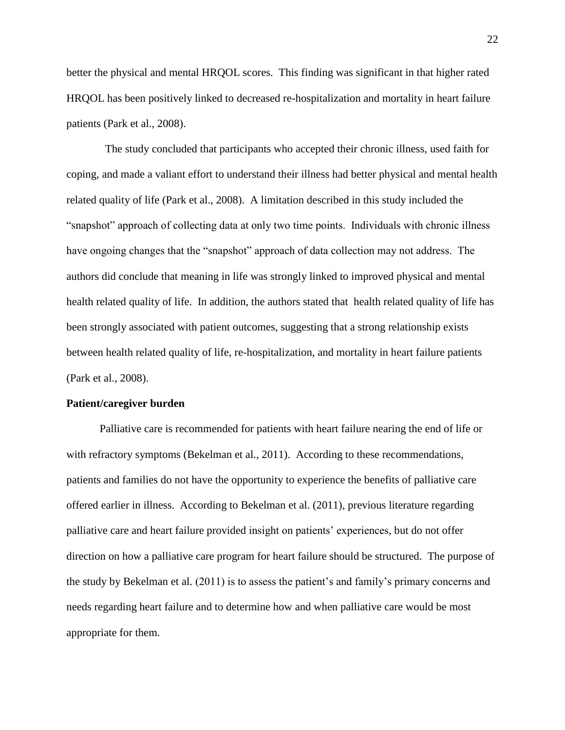better the physical and mental HRQOL scores. This finding was significant in that higher rated HRQOL has been positively linked to decreased re-hospitalization and mortality in heart failure patients (Park et al., 2008).

 The study concluded that participants who accepted their chronic illness, used faith for coping, and made a valiant effort to understand their illness had better physical and mental health related quality of life (Park et al., 2008). A limitation described in this study included the "snapshot" approach of collecting data at only two time points. Individuals with chronic illness have ongoing changes that the "snapshot" approach of data collection may not address. The authors did conclude that meaning in life was strongly linked to improved physical and mental health related quality of life. In addition, the authors stated that health related quality of life has been strongly associated with patient outcomes, suggesting that a strong relationship exists between health related quality of life, re-hospitalization, and mortality in heart failure patients (Park et al., 2008).

#### <span id="page-24-0"></span>**Patient/caregiver burden**

Palliative care is recommended for patients with heart failure nearing the end of life or with refractory symptoms (Bekelman et al., 2011). According to these recommendations, patients and families do not have the opportunity to experience the benefits of palliative care offered earlier in illness. According to Bekelman et al. (2011), previous literature regarding palliative care and heart failure provided insight on patients' experiences, but do not offer direction on how a palliative care program for heart failure should be structured. The purpose of the study by Bekelman et al. (2011) is to assess the patient's and family's primary concerns and needs regarding heart failure and to determine how and when palliative care would be most appropriate for them.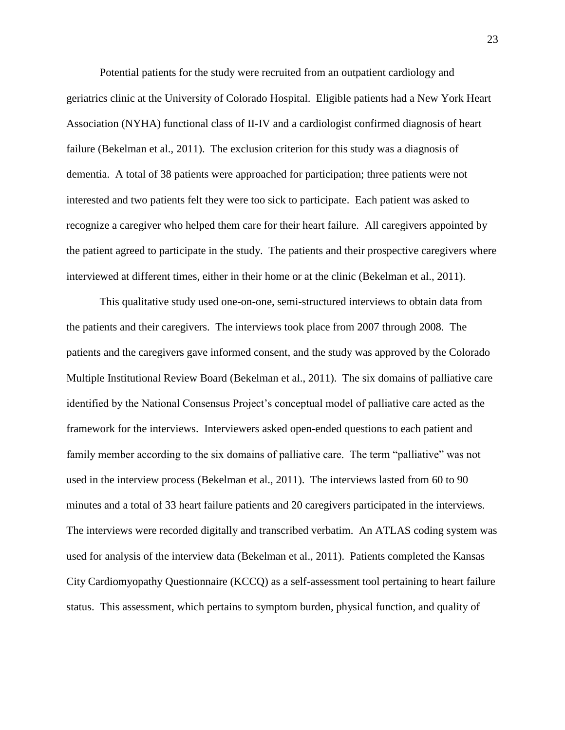Potential patients for the study were recruited from an outpatient cardiology and geriatrics clinic at the University of Colorado Hospital. Eligible patients had a New York Heart Association (NYHA) functional class of II-IV and a cardiologist confirmed diagnosis of heart failure (Bekelman et al., 2011). The exclusion criterion for this study was a diagnosis of dementia. A total of 38 patients were approached for participation; three patients were not interested and two patients felt they were too sick to participate. Each patient was asked to recognize a caregiver who helped them care for their heart failure. All caregivers appointed by the patient agreed to participate in the study. The patients and their prospective caregivers where interviewed at different times, either in their home or at the clinic (Bekelman et al., 2011).

This qualitative study used one-on-one, semi-structured interviews to obtain data from the patients and their caregivers. The interviews took place from 2007 through 2008. The patients and the caregivers gave informed consent, and the study was approved by the Colorado Multiple Institutional Review Board (Bekelman et al., 2011). The six domains of palliative care identified by the National Consensus Project's conceptual model of palliative care acted as the framework for the interviews. Interviewers asked open-ended questions to each patient and family member according to the six domains of palliative care. The term "palliative" was not used in the interview process (Bekelman et al., 2011). The interviews lasted from 60 to 90 minutes and a total of 33 heart failure patients and 20 caregivers participated in the interviews. The interviews were recorded digitally and transcribed verbatim. An ATLAS coding system was used for analysis of the interview data (Bekelman et al., 2011). Patients completed the Kansas City Cardiomyopathy Questionnaire (KCCQ) as a self-assessment tool pertaining to heart failure status. This assessment, which pertains to symptom burden, physical function, and quality of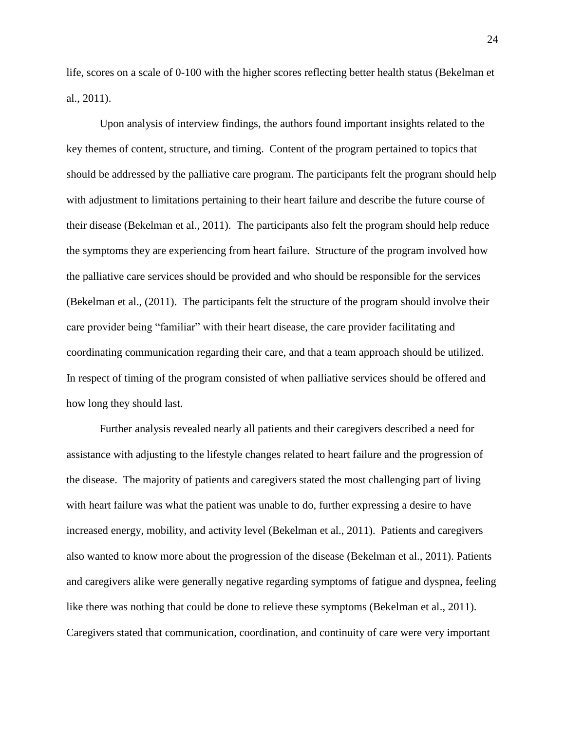life, scores on a scale of 0-100 with the higher scores reflecting better health status (Bekelman et al., 2011).

Upon analysis of interview findings, the authors found important insights related to the key themes of content, structure, and timing. Content of the program pertained to topics that should be addressed by the palliative care program. The participants felt the program should help with adjustment to limitations pertaining to their heart failure and describe the future course of their disease (Bekelman et al., 2011). The participants also felt the program should help reduce the symptoms they are experiencing from heart failure. Structure of the program involved how the palliative care services should be provided and who should be responsible for the services (Bekelman et al., (2011). The participants felt the structure of the program should involve their care provider being "familiar" with their heart disease, the care provider facilitating and coordinating communication regarding their care, and that a team approach should be utilized. In respect of timing of the program consisted of when palliative services should be offered and how long they should last.

Further analysis revealed nearly all patients and their caregivers described a need for assistance with adjusting to the lifestyle changes related to heart failure and the progression of the disease. The majority of patients and caregivers stated the most challenging part of living with heart failure was what the patient was unable to do, further expressing a desire to have increased energy, mobility, and activity level (Bekelman et al., 2011). Patients and caregivers also wanted to know more about the progression of the disease (Bekelman et al., 2011). Patients and caregivers alike were generally negative regarding symptoms of fatigue and dyspnea, feeling like there was nothing that could be done to relieve these symptoms (Bekelman et al., 2011). Caregivers stated that communication, coordination, and continuity of care were very important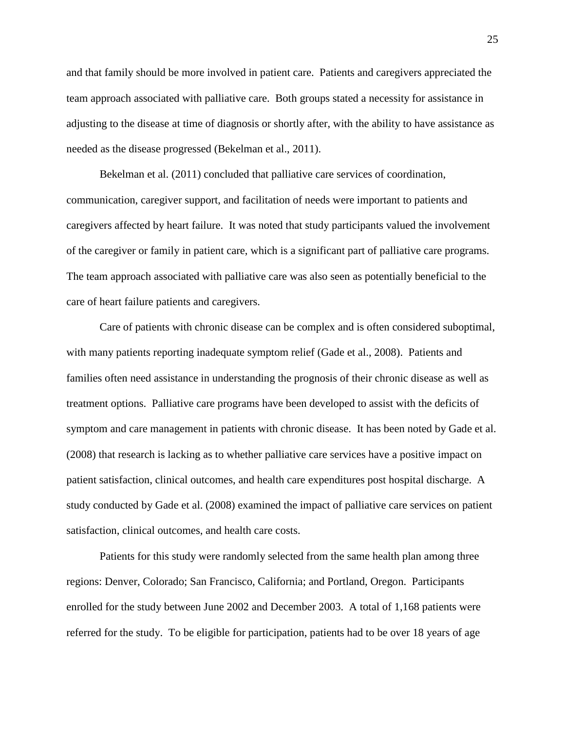and that family should be more involved in patient care. Patients and caregivers appreciated the team approach associated with palliative care. Both groups stated a necessity for assistance in adjusting to the disease at time of diagnosis or shortly after, with the ability to have assistance as needed as the disease progressed (Bekelman et al., 2011).

Bekelman et al. (2011) concluded that palliative care services of coordination, communication, caregiver support, and facilitation of needs were important to patients and caregivers affected by heart failure. It was noted that study participants valued the involvement of the caregiver or family in patient care, which is a significant part of palliative care programs. The team approach associated with palliative care was also seen as potentially beneficial to the care of heart failure patients and caregivers.

Care of patients with chronic disease can be complex and is often considered suboptimal, with many patients reporting inadequate symptom relief (Gade et al., 2008). Patients and families often need assistance in understanding the prognosis of their chronic disease as well as treatment options. Palliative care programs have been developed to assist with the deficits of symptom and care management in patients with chronic disease. It has been noted by Gade et al. (2008) that research is lacking as to whether palliative care services have a positive impact on patient satisfaction, clinical outcomes, and health care expenditures post hospital discharge. A study conducted by Gade et al. (2008) examined the impact of palliative care services on patient satisfaction, clinical outcomes, and health care costs.

Patients for this study were randomly selected from the same health plan among three regions: Denver, Colorado; San Francisco, California; and Portland, Oregon. Participants enrolled for the study between June 2002 and December 2003. A total of 1,168 patients were referred for the study. To be eligible for participation, patients had to be over 18 years of age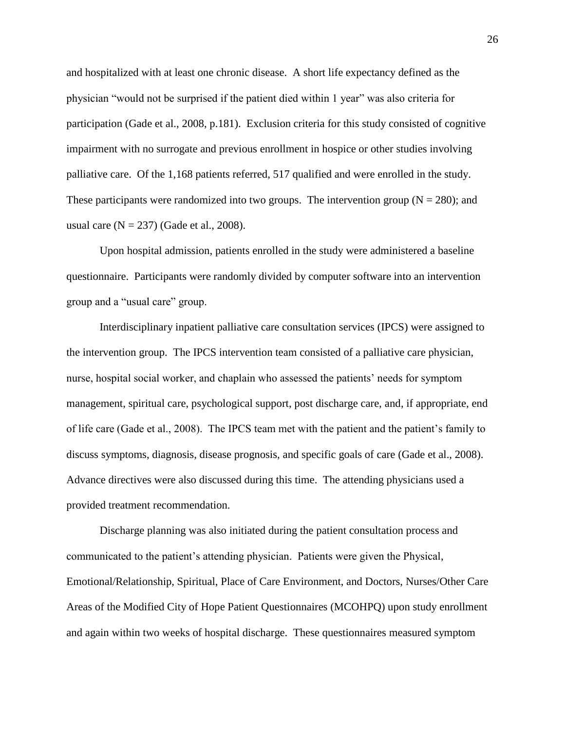and hospitalized with at least one chronic disease. A short life expectancy defined as the physician "would not be surprised if the patient died within 1 year" was also criteria for participation (Gade et al., 2008, p.181). Exclusion criteria for this study consisted of cognitive impairment with no surrogate and previous enrollment in hospice or other studies involving palliative care. Of the 1,168 patients referred, 517 qualified and were enrolled in the study. These participants were randomized into two groups. The intervention group ( $N = 280$ ); and usual care  $(N = 237)$  (Gade et al., 2008).

Upon hospital admission, patients enrolled in the study were administered a baseline questionnaire. Participants were randomly divided by computer software into an intervention group and a "usual care" group.

Interdisciplinary inpatient palliative care consultation services (IPCS) were assigned to the intervention group. The IPCS intervention team consisted of a palliative care physician, nurse, hospital social worker, and chaplain who assessed the patients' needs for symptom management, spiritual care, psychological support, post discharge care, and, if appropriate, end of life care (Gade et al., 2008). The IPCS team met with the patient and the patient's family to discuss symptoms, diagnosis, disease prognosis, and specific goals of care (Gade et al., 2008). Advance directives were also discussed during this time. The attending physicians used a provided treatment recommendation.

Discharge planning was also initiated during the patient consultation process and communicated to the patient's attending physician. Patients were given the Physical, Emotional/Relationship, Spiritual, Place of Care Environment, and Doctors, Nurses/Other Care Areas of the Modified City of Hope Patient Questionnaires (MCOHPQ) upon study enrollment and again within two weeks of hospital discharge. These questionnaires measured symptom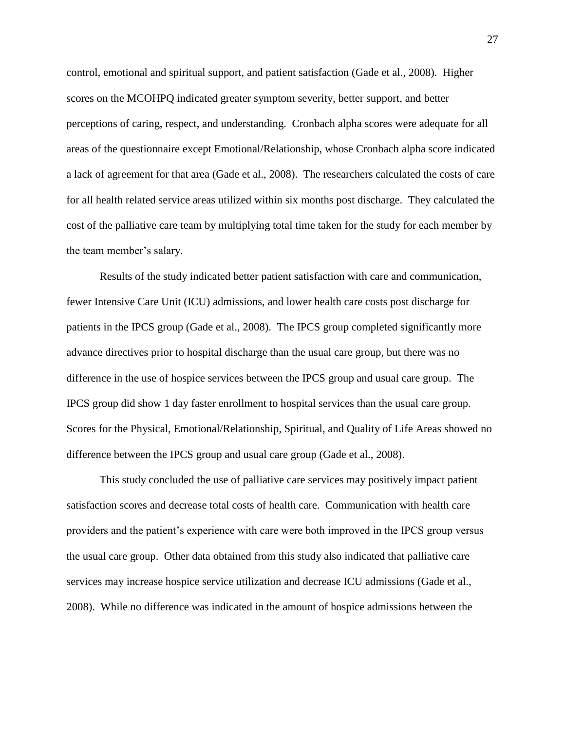control, emotional and spiritual support, and patient satisfaction (Gade et al., 2008). Higher scores on the MCOHPQ indicated greater symptom severity, better support, and better perceptions of caring, respect, and understanding. Cronbach alpha scores were adequate for all areas of the questionnaire except Emotional/Relationship, whose Cronbach alpha score indicated a lack of agreement for that area (Gade et al., 2008). The researchers calculated the costs of care for all health related service areas utilized within six months post discharge. They calculated the cost of the palliative care team by multiplying total time taken for the study for each member by the team member's salary.

Results of the study indicated better patient satisfaction with care and communication, fewer Intensive Care Unit (ICU) admissions, and lower health care costs post discharge for patients in the IPCS group (Gade et al., 2008). The IPCS group completed significantly more advance directives prior to hospital discharge than the usual care group, but there was no difference in the use of hospice services between the IPCS group and usual care group. The IPCS group did show 1 day faster enrollment to hospital services than the usual care group. Scores for the Physical, Emotional/Relationship, Spiritual, and Quality of Life Areas showed no difference between the IPCS group and usual care group (Gade et al., 2008).

This study concluded the use of palliative care services may positively impact patient satisfaction scores and decrease total costs of health care. Communication with health care providers and the patient's experience with care were both improved in the IPCS group versus the usual care group. Other data obtained from this study also indicated that palliative care services may increase hospice service utilization and decrease ICU admissions (Gade et al., 2008). While no difference was indicated in the amount of hospice admissions between the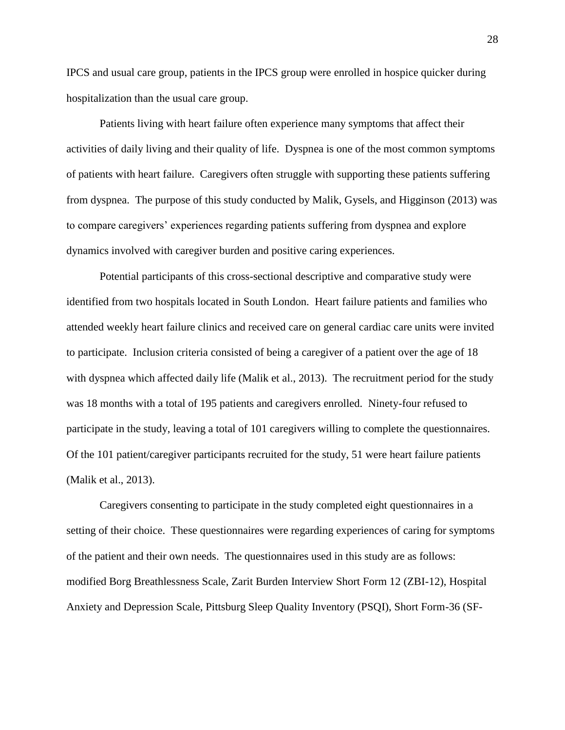IPCS and usual care group, patients in the IPCS group were enrolled in hospice quicker during hospitalization than the usual care group.

Patients living with heart failure often experience many symptoms that affect their activities of daily living and their quality of life. Dyspnea is one of the most common symptoms of patients with heart failure. Caregivers often struggle with supporting these patients suffering from dyspnea. The purpose of this study conducted by Malik, Gysels, and Higginson (2013) was to compare caregivers' experiences regarding patients suffering from dyspnea and explore dynamics involved with caregiver burden and positive caring experiences.

Potential participants of this cross-sectional descriptive and comparative study were identified from two hospitals located in South London. Heart failure patients and families who attended weekly heart failure clinics and received care on general cardiac care units were invited to participate. Inclusion criteria consisted of being a caregiver of a patient over the age of 18 with dyspnea which affected daily life (Malik et al., 2013). The recruitment period for the study was 18 months with a total of 195 patients and caregivers enrolled. Ninety-four refused to participate in the study, leaving a total of 101 caregivers willing to complete the questionnaires. Of the 101 patient/caregiver participants recruited for the study, 51 were heart failure patients (Malik et al., 2013).

Caregivers consenting to participate in the study completed eight questionnaires in a setting of their choice. These questionnaires were regarding experiences of caring for symptoms of the patient and their own needs. The questionnaires used in this study are as follows: modified Borg Breathlessness Scale, Zarit Burden Interview Short Form 12 (ZBI-12), Hospital Anxiety and Depression Scale, Pittsburg Sleep Quality Inventory (PSQI), Short Form-36 (SF-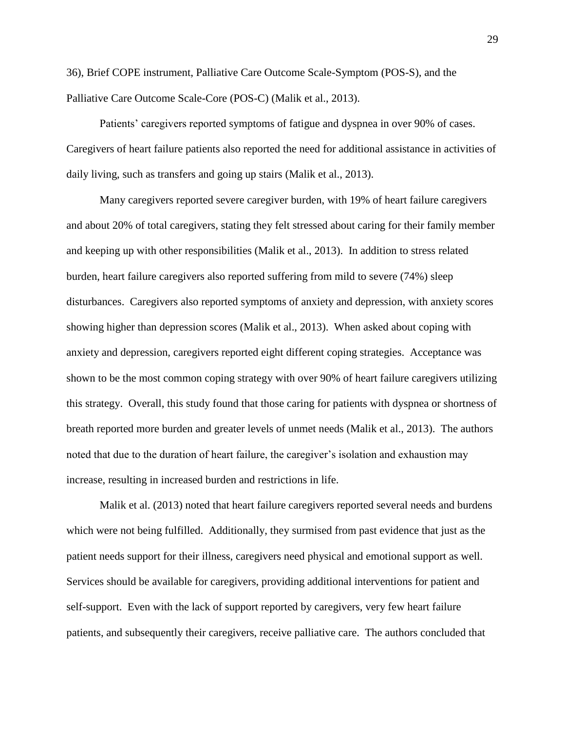36), Brief COPE instrument, Palliative Care Outcome Scale-Symptom (POS-S), and the Palliative Care Outcome Scale-Core (POS-C) (Malik et al., 2013).

Patients' caregivers reported symptoms of fatigue and dyspnea in over 90% of cases. Caregivers of heart failure patients also reported the need for additional assistance in activities of daily living, such as transfers and going up stairs (Malik et al., 2013).

Many caregivers reported severe caregiver burden, with 19% of heart failure caregivers and about 20% of total caregivers, stating they felt stressed about caring for their family member and keeping up with other responsibilities (Malik et al., 2013). In addition to stress related burden, heart failure caregivers also reported suffering from mild to severe (74%) sleep disturbances. Caregivers also reported symptoms of anxiety and depression, with anxiety scores showing higher than depression scores (Malik et al., 2013). When asked about coping with anxiety and depression, caregivers reported eight different coping strategies. Acceptance was shown to be the most common coping strategy with over 90% of heart failure caregivers utilizing this strategy. Overall, this study found that those caring for patients with dyspnea or shortness of breath reported more burden and greater levels of unmet needs (Malik et al., 2013). The authors noted that due to the duration of heart failure, the caregiver's isolation and exhaustion may increase, resulting in increased burden and restrictions in life.

Malik et al. (2013) noted that heart failure caregivers reported several needs and burdens which were not being fulfilled. Additionally, they surmised from past evidence that just as the patient needs support for their illness, caregivers need physical and emotional support as well. Services should be available for caregivers, providing additional interventions for patient and self-support. Even with the lack of support reported by caregivers, very few heart failure patients, and subsequently their caregivers, receive palliative care. The authors concluded that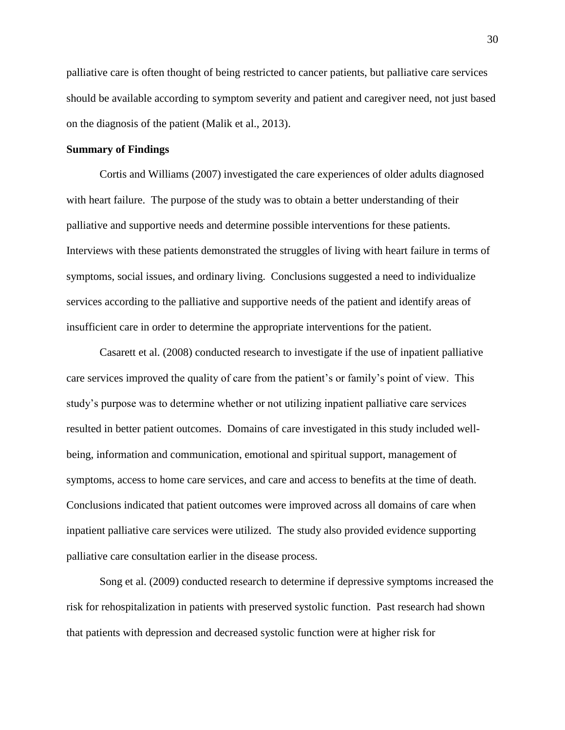palliative care is often thought of being restricted to cancer patients, but palliative care services should be available according to symptom severity and patient and caregiver need, not just based on the diagnosis of the patient (Malik et al., 2013).

#### <span id="page-32-0"></span>**Summary of Findings**

Cortis and Williams (2007) investigated the care experiences of older adults diagnosed with heart failure. The purpose of the study was to obtain a better understanding of their palliative and supportive needs and determine possible interventions for these patients. Interviews with these patients demonstrated the struggles of living with heart failure in terms of symptoms, social issues, and ordinary living. Conclusions suggested a need to individualize services according to the palliative and supportive needs of the patient and identify areas of insufficient care in order to determine the appropriate interventions for the patient.

Casarett et al. (2008) conducted research to investigate if the use of inpatient palliative care services improved the quality of care from the patient's or family's point of view. This study's purpose was to determine whether or not utilizing inpatient palliative care services resulted in better patient outcomes. Domains of care investigated in this study included wellbeing, information and communication, emotional and spiritual support, management of symptoms, access to home care services, and care and access to benefits at the time of death. Conclusions indicated that patient outcomes were improved across all domains of care when inpatient palliative care services were utilized. The study also provided evidence supporting palliative care consultation earlier in the disease process.

Song et al. (2009) conducted research to determine if depressive symptoms increased the risk for rehospitalization in patients with preserved systolic function. Past research had shown that patients with depression and decreased systolic function were at higher risk for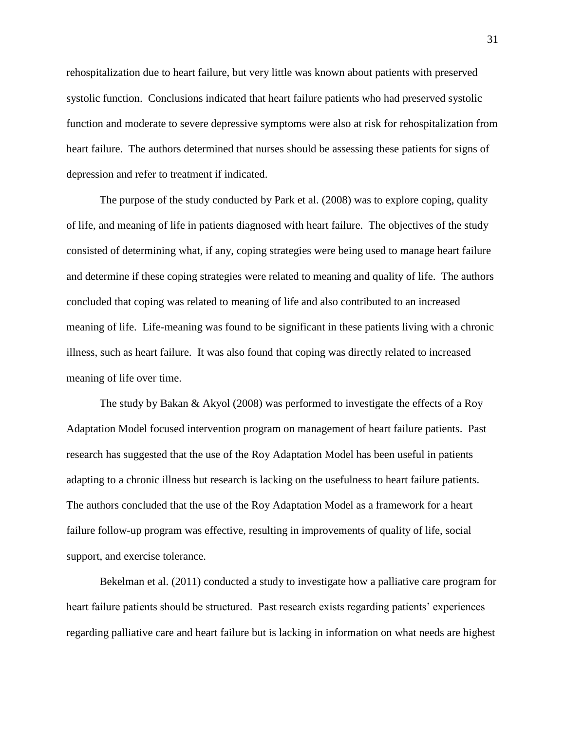rehospitalization due to heart failure, but very little was known about patients with preserved systolic function. Conclusions indicated that heart failure patients who had preserved systolic function and moderate to severe depressive symptoms were also at risk for rehospitalization from heart failure. The authors determined that nurses should be assessing these patients for signs of depression and refer to treatment if indicated.

The purpose of the study conducted by Park et al. (2008) was to explore coping, quality of life, and meaning of life in patients diagnosed with heart failure. The objectives of the study consisted of determining what, if any, coping strategies were being used to manage heart failure and determine if these coping strategies were related to meaning and quality of life. The authors concluded that coping was related to meaning of life and also contributed to an increased meaning of life. Life-meaning was found to be significant in these patients living with a chronic illness, such as heart failure. It was also found that coping was directly related to increased meaning of life over time.

The study by Bakan & Akyol (2008) was performed to investigate the effects of a Roy Adaptation Model focused intervention program on management of heart failure patients. Past research has suggested that the use of the Roy Adaptation Model has been useful in patients adapting to a chronic illness but research is lacking on the usefulness to heart failure patients. The authors concluded that the use of the Roy Adaptation Model as a framework for a heart failure follow-up program was effective, resulting in improvements of quality of life, social support, and exercise tolerance.

Bekelman et al. (2011) conducted a study to investigate how a palliative care program for heart failure patients should be structured. Past research exists regarding patients' experiences regarding palliative care and heart failure but is lacking in information on what needs are highest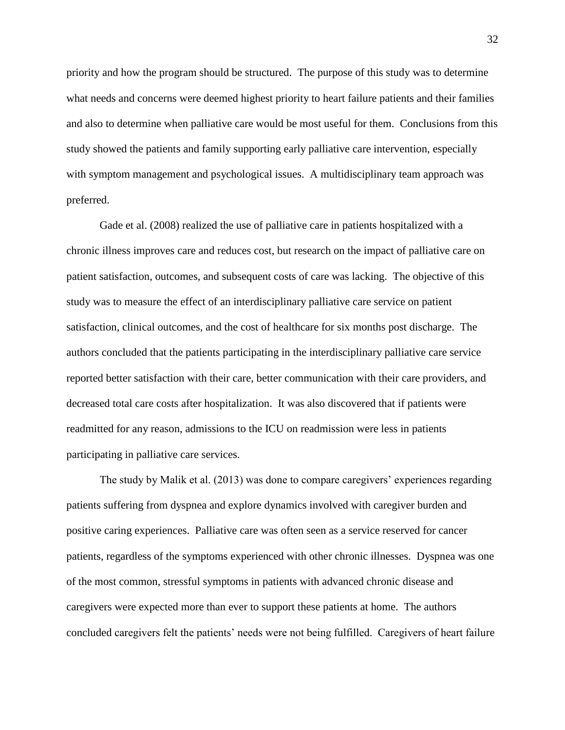priority and how the program should be structured. The purpose of this study was to determine what needs and concerns were deemed highest priority to heart failure patients and their families and also to determine when palliative care would be most useful for them. Conclusions from this study showed the patients and family supporting early palliative care intervention, especially with symptom management and psychological issues. A multidisciplinary team approach was preferred.

Gade et al. (2008) realized the use of palliative care in patients hospitalized with a chronic illness improves care and reduces cost, but research on the impact of palliative care on patient satisfaction, outcomes, and subsequent costs of care was lacking. The objective of this study was to measure the effect of an interdisciplinary palliative care service on patient satisfaction, clinical outcomes, and the cost of healthcare for six months post discharge. The authors concluded that the patients participating in the interdisciplinary palliative care service reported better satisfaction with their care, better communication with their care providers, and decreased total care costs after hospitalization. It was also discovered that if patients were readmitted for any reason, admissions to the ICU on readmission were less in patients participating in palliative care services.

The study by Malik et al. (2013) was done to compare caregivers' experiences regarding patients suffering from dyspnea and explore dynamics involved with caregiver burden and positive caring experiences. Palliative care was often seen as a service reserved for cancer patients, regardless of the symptoms experienced with other chronic illnesses. Dyspnea was one of the most common, stressful symptoms in patients with advanced chronic disease and caregivers were expected more than ever to support these patients at home. The authors concluded caregivers felt the patients' needs were not being fulfilled. Caregivers of heart failure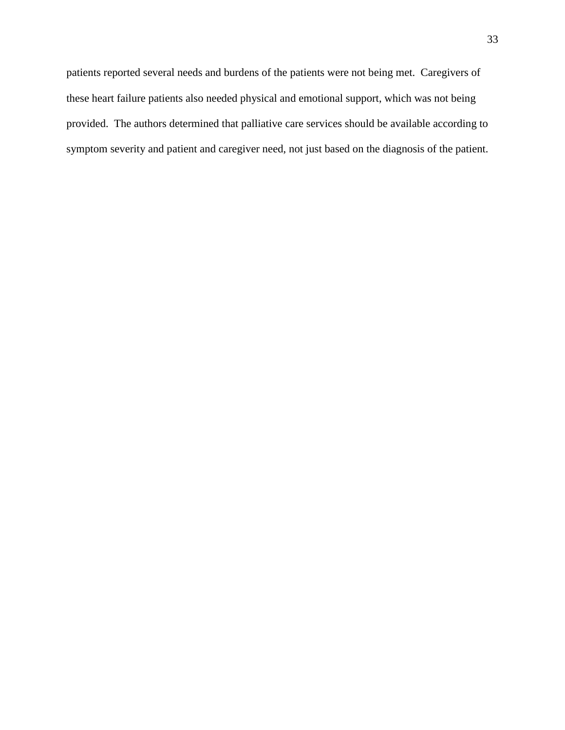patients reported several needs and burdens of the patients were not being met. Caregivers of these heart failure patients also needed physical and emotional support, which was not being provided. The authors determined that palliative care services should be available according to symptom severity and patient and caregiver need, not just based on the diagnosis of the patient.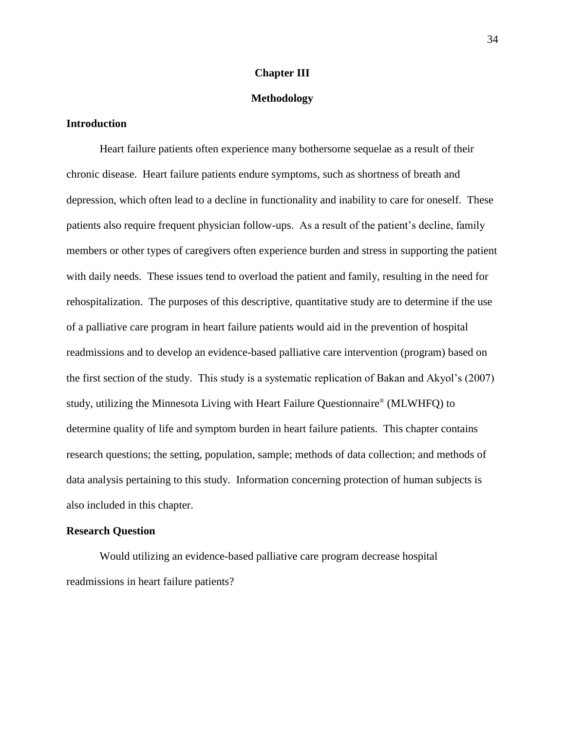#### **Chapter III**

#### **Methodology**

### <span id="page-36-1"></span><span id="page-36-0"></span>**Introduction**

Heart failure patients often experience many bothersome sequelae as a result of their chronic disease. Heart failure patients endure symptoms, such as shortness of breath and depression, which often lead to a decline in functionality and inability to care for oneself. These patients also require frequent physician follow-ups. As a result of the patient's decline, family members or other types of caregivers often experience burden and stress in supporting the patient with daily needs. These issues tend to overload the patient and family, resulting in the need for rehospitalization. The purposes of this descriptive, quantitative study are to determine if the use of a palliative care program in heart failure patients would aid in the prevention of hospital readmissions and to develop an evidence-based palliative care intervention (program) based on the first section of the study. This study is a systematic replication of Bakan and Akyol's (2007) study, utilizing the Minnesota Living with Heart Failure Questionnaire® (MLWHFQ) to determine quality of life and symptom burden in heart failure patients. This chapter contains research questions; the setting, population, sample; methods of data collection; and methods of data analysis pertaining to this study. Information concerning protection of human subjects is also included in this chapter.

#### <span id="page-36-2"></span>**Research Question**

Would utilizing an evidence-based palliative care program decrease hospital readmissions in heart failure patients?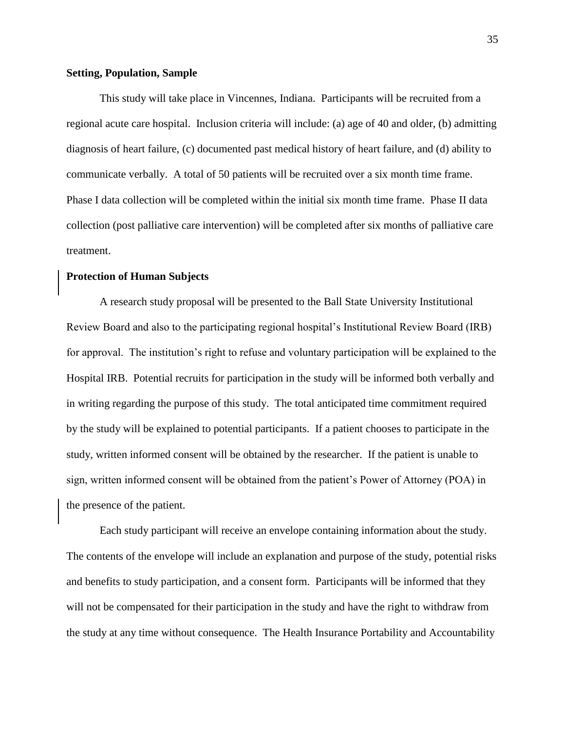#### <span id="page-37-0"></span>**Setting, Population, Sample**

This study will take place in Vincennes, Indiana. Participants will be recruited from a regional acute care hospital. Inclusion criteria will include: (a) age of 40 and older, (b) admitting diagnosis of heart failure, (c) documented past medical history of heart failure, and (d) ability to communicate verbally. A total of 50 patients will be recruited over a six month time frame. Phase I data collection will be completed within the initial six month time frame. Phase II data collection (post palliative care intervention) will be completed after six months of palliative care treatment.

#### <span id="page-37-1"></span>**Protection of Human Subjects**

A research study proposal will be presented to the Ball State University Institutional Review Board and also to the participating regional hospital's Institutional Review Board (IRB) for approval. The institution's right to refuse and voluntary participation will be explained to the Hospital IRB. Potential recruits for participation in the study will be informed both verbally and in writing regarding the purpose of this study. The total anticipated time commitment required by the study will be explained to potential participants. If a patient chooses to participate in the study, written informed consent will be obtained by the researcher. If the patient is unable to sign, written informed consent will be obtained from the patient's Power of Attorney (POA) in the presence of the patient.

Each study participant will receive an envelope containing information about the study. The contents of the envelope will include an explanation and purpose of the study, potential risks and benefits to study participation, and a consent form. Participants will be informed that they will not be compensated for their participation in the study and have the right to withdraw from the study at any time without consequence. The Health Insurance Portability and Accountability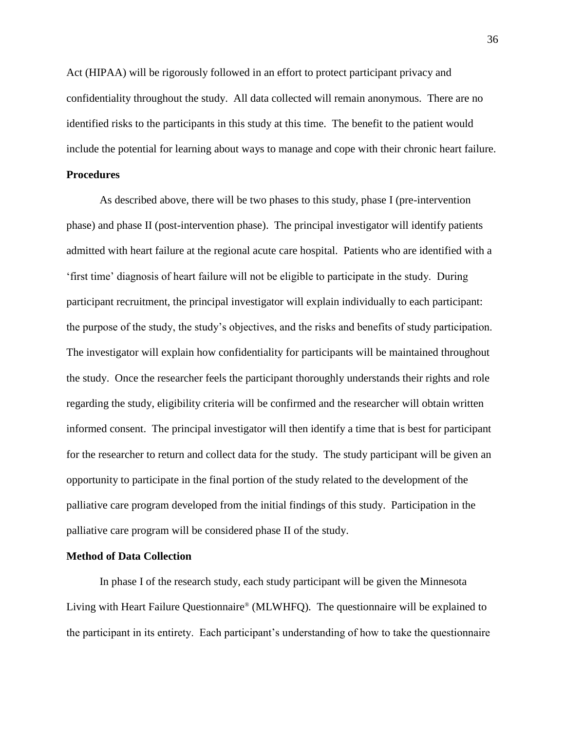Act (HIPAA) will be rigorously followed in an effort to protect participant privacy and confidentiality throughout the study. All data collected will remain anonymous. There are no identified risks to the participants in this study at this time. The benefit to the patient would include the potential for learning about ways to manage and cope with their chronic heart failure.

#### <span id="page-38-0"></span>**Procedures**

As described above, there will be two phases to this study, phase I (pre-intervention phase) and phase II (post-intervention phase). The principal investigator will identify patients admitted with heart failure at the regional acute care hospital. Patients who are identified with a 'first time' diagnosis of heart failure will not be eligible to participate in the study. During participant recruitment, the principal investigator will explain individually to each participant: the purpose of the study, the study's objectives, and the risks and benefits of study participation. The investigator will explain how confidentiality for participants will be maintained throughout the study. Once the researcher feels the participant thoroughly understands their rights and role regarding the study, eligibility criteria will be confirmed and the researcher will obtain written informed consent. The principal investigator will then identify a time that is best for participant for the researcher to return and collect data for the study. The study participant will be given an opportunity to participate in the final portion of the study related to the development of the palliative care program developed from the initial findings of this study. Participation in the palliative care program will be considered phase II of the study.

#### <span id="page-38-1"></span>**Method of Data Collection**

In phase I of the research study, each study participant will be given the Minnesota Living with Heart Failure Questionnaire® (MLWHFQ). The questionnaire will be explained to the participant in its entirety. Each participant's understanding of how to take the questionnaire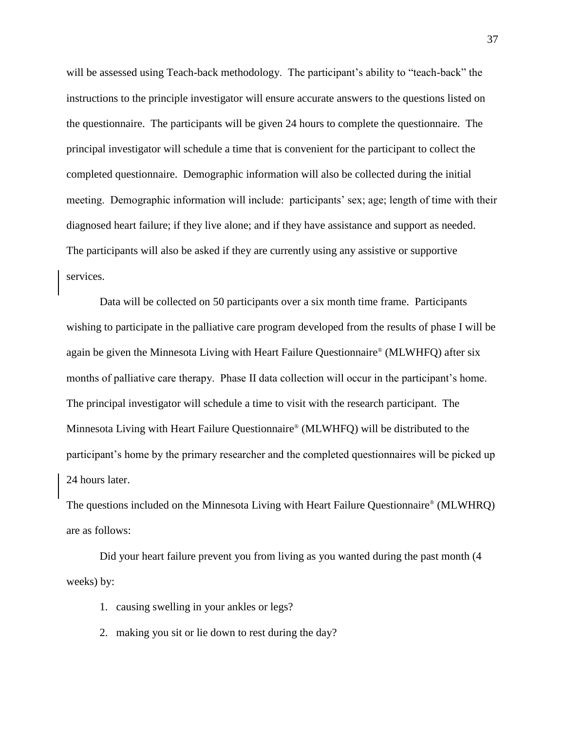will be assessed using Teach-back methodology. The participant's ability to "teach-back" the instructions to the principle investigator will ensure accurate answers to the questions listed on the questionnaire. The participants will be given 24 hours to complete the questionnaire. The principal investigator will schedule a time that is convenient for the participant to collect the completed questionnaire. Demographic information will also be collected during the initial meeting. Demographic information will include: participants' sex; age; length of time with their diagnosed heart failure; if they live alone; and if they have assistance and support as needed. The participants will also be asked if they are currently using any assistive or supportive services.

Data will be collected on 50 participants over a six month time frame. Participants wishing to participate in the palliative care program developed from the results of phase I will be again be given the Minnesota Living with Heart Failure Questionnaire® (MLWHFQ) after six months of palliative care therapy. Phase II data collection will occur in the participant's home. The principal investigator will schedule a time to visit with the research participant. The Minnesota Living with Heart Failure Questionnaire® (MLWHFQ) will be distributed to the participant's home by the primary researcher and the completed questionnaires will be picked up 24 hours later.

The questions included on the Minnesota Living with Heart Failure Questionnaire® (MLWHRQ) are as follows:

Did your heart failure prevent you from living as you wanted during the past month (4 weeks) by:

- 1. causing swelling in your ankles or legs?
- 2. making you sit or lie down to rest during the day?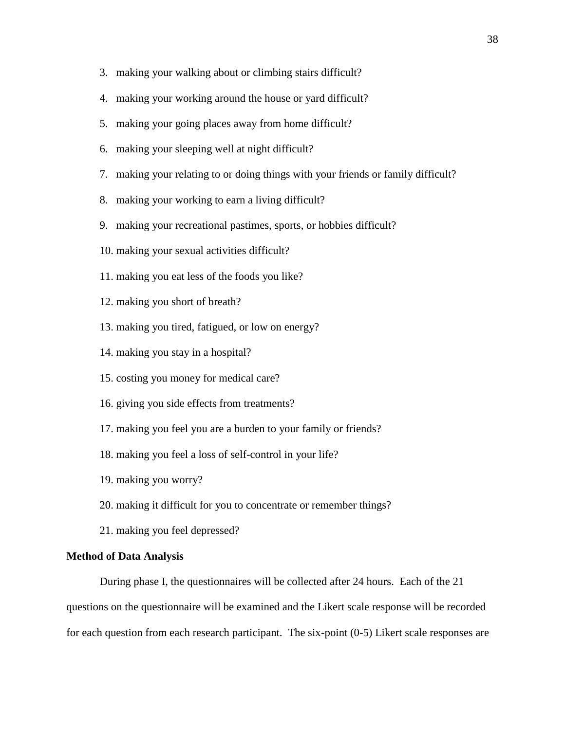- 3. making your walking about or climbing stairs difficult?
- 4. making your working around the house or yard difficult?
- 5. making your going places away from home difficult?
- 6. making your sleeping well at night difficult?
- 7. making your relating to or doing things with your friends or family difficult?
- 8. making your working to earn a living difficult?
- 9. making your recreational pastimes, sports, or hobbies difficult?
- 10. making your sexual activities difficult?
- 11. making you eat less of the foods you like?
- 12. making you short of breath?
- 13. making you tired, fatigued, or low on energy?
- 14. making you stay in a hospital?
- 15. costing you money for medical care?
- 16. giving you side effects from treatments?
- 17. making you feel you are a burden to your family or friends?
- 18. making you feel a loss of self-control in your life?
- 19. making you worry?
- 20. making it difficult for you to concentrate or remember things?
- 21. making you feel depressed?

#### <span id="page-40-0"></span>**Method of Data Analysis**

During phase I, the questionnaires will be collected after 24 hours. Each of the 21 questions on the questionnaire will be examined and the Likert scale response will be recorded for each question from each research participant. The six-point (0-5) Likert scale responses are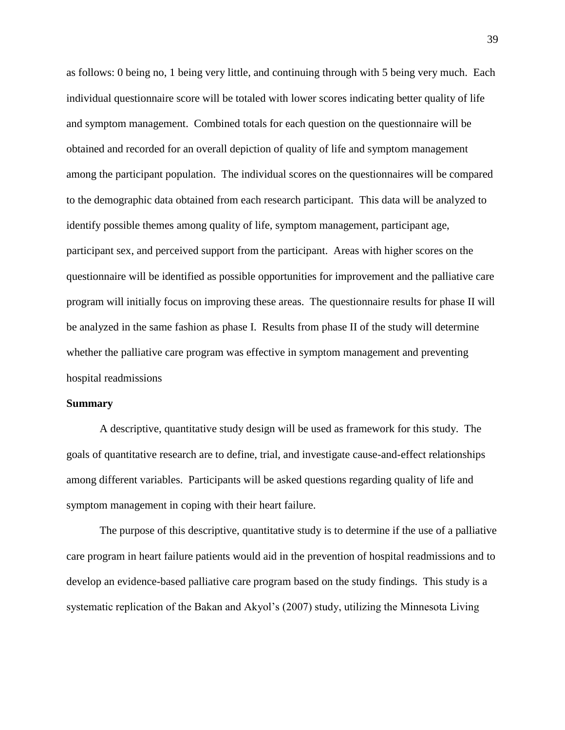as follows: 0 being no, 1 being very little, and continuing through with 5 being very much. Each individual questionnaire score will be totaled with lower scores indicating better quality of life and symptom management. Combined totals for each question on the questionnaire will be obtained and recorded for an overall depiction of quality of life and symptom management among the participant population. The individual scores on the questionnaires will be compared to the demographic data obtained from each research participant. This data will be analyzed to identify possible themes among quality of life, symptom management, participant age, participant sex, and perceived support from the participant. Areas with higher scores on the questionnaire will be identified as possible opportunities for improvement and the palliative care program will initially focus on improving these areas. The questionnaire results for phase II will be analyzed in the same fashion as phase I. Results from phase II of the study will determine whether the palliative care program was effective in symptom management and preventing hospital readmissions

#### <span id="page-41-0"></span>**Summary**

A descriptive, quantitative study design will be used as framework for this study. The goals of quantitative research are to define, trial, and investigate cause-and-effect relationships among different variables. Participants will be asked questions regarding quality of life and symptom management in coping with their heart failure.

The purpose of this descriptive, quantitative study is to determine if the use of a palliative care program in heart failure patients would aid in the prevention of hospital readmissions and to develop an evidence-based palliative care program based on the study findings. This study is a systematic replication of the Bakan and Akyol's (2007) study, utilizing the Minnesota Living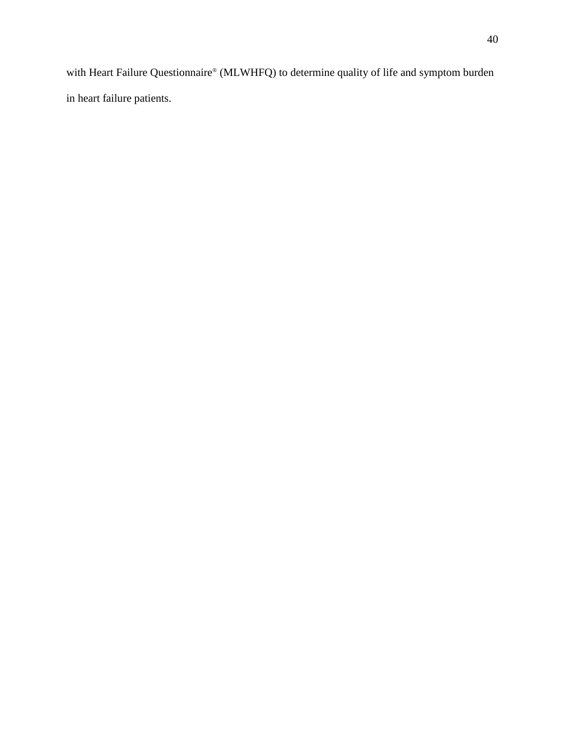with Heart Failure Questionnaire® (MLWHFQ) to determine quality of life and symptom burden in heart failure patients.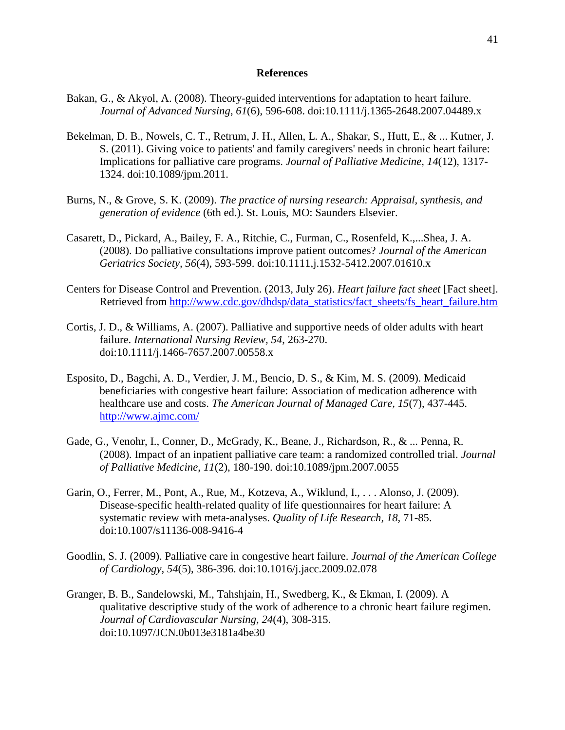#### **References**

- <span id="page-43-0"></span>Bakan, G., & Akyol, A. (2008). Theory-guided interventions for adaptation to heart failure. *Journal of Advanced Nursing*, *61*(6), 596-608. doi:10.1111/j.1365-2648.2007.04489.x
- Bekelman, D. B., Nowels, C. T., Retrum, J. H., Allen, L. A., Shakar, S., Hutt, E., & ... Kutner, J. S. (2011). Giving voice to patients' and family caregivers' needs in chronic heart failure: Implications for palliative care programs. *Journal of Palliative Medicine*, *14*(12), 1317- 1324. doi:10.1089/jpm.2011.
- Burns, N., & Grove, S. K. (2009). *The practice of nursing research: Appraisal, synthesis, and generation of evidence* (6th ed.). St. Louis, MO: Saunders Elsevier.
- Casarett, D., Pickard, A., Bailey, F. A., Ritchie, C., Furman, C., Rosenfeld, K.,...Shea, J. A. (2008). Do palliative consultations improve patient outcomes? *Journal of the American Geriatrics Society, 56*(4), 593-599. doi:10.1111,j.1532-5412.2007.01610.x
- Centers for Disease Control and Prevention. (2013, July 26). *Heart failure fact sheet* [Fact sheet]. Retrieved from [http://www.cdc.gov/dhdsp/data\\_statistics/fact\\_sheets/fs\\_heart\\_failure.htm](http://www.cdc.gov/dhdsp/data_statistics/fact_sheets/fs_heart_failure.htm)
- Cortis, J. D., & Williams, A. (2007). Palliative and supportive needs of older adults with heart failure. *International Nursing Review, 54*, 263-270. doi:10.1111/j.1466-7657.2007.00558.x
- Esposito, D., Bagchi, A. D., Verdier, J. M., Bencio, D. S., & Kim, M. S. (2009). Medicaid beneficiaries with congestive heart failure: Association of medication adherence with healthcare use and costs. *The American Journal of Managed Care, 15*(7), 437-445. <http://www.ajmc.com/>
- Gade, G., Venohr, I., Conner, D., McGrady, K., Beane, J., Richardson, R., & ... Penna, R. (2008). Impact of an inpatient palliative care team: a randomized controlled trial. *Journal of Palliative Medicine*, *11*(2), 180-190. doi:10.1089/jpm.2007.0055
- Garin, O., Ferrer, M., Pont, A., Rue, M., Kotzeva, A., Wiklund, I., . . . Alonso, J. (2009). Disease-specific health-related quality of life questionnaires for heart failure: A systematic review with meta-analyses. *Quality of Life Research, 18,* 71-85. doi:10.1007/s11136-008-9416-4
- Goodlin, S. J. (2009). Palliative care in congestive heart failure. *Journal of the American College of Cardiology, 54*(5), 386-396. doi:10.1016/j.jacc.2009.02.078
- Granger, B. B., Sandelowski, M., Tahshjain, H., Swedberg, K., & Ekman, I. (2009). A qualitative descriptive study of the work of adherence to a chronic heart failure regimen. *Journal of Cardiovascular Nursing, 24*(4), 308-315. doi:10.1097/JCN.0b013e3181a4be30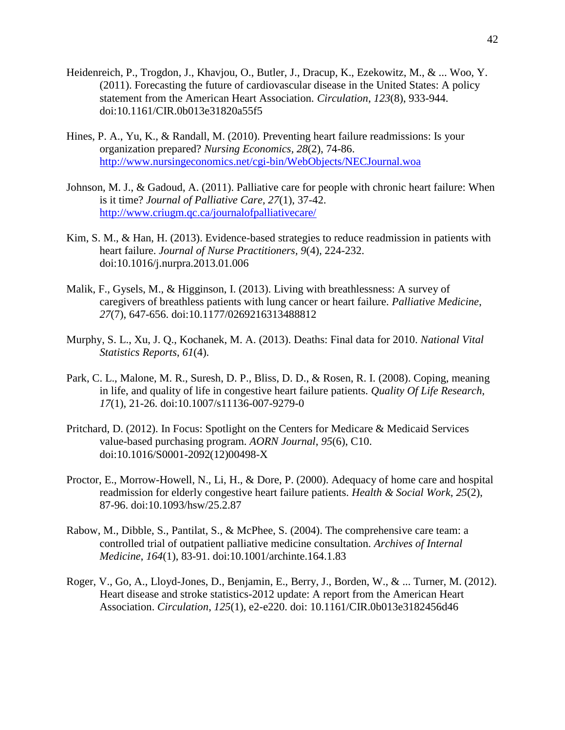- Heidenreich, P., Trogdon, J., Khavjou, O., Butler, J., Dracup, K., Ezekowitz, M., & ... Woo, Y. (2011). Forecasting the future of cardiovascular disease in the United States: A policy statement from the American Heart Association. *Circulation*, *123*(8), 933-944. doi:10.1161/CIR.0b013e31820a55f5
- Hines, P. A., Yu, K., & Randall, M. (2010). Preventing heart failure readmissions: Is your organization prepared? *Nursing Economics, 28*(2), 74-86. <http://www.nursingeconomics.net/cgi-bin/WebObjects/NECJournal.woa>
- Johnson, M. J., & Gadoud, A. (2011). Palliative care for people with chronic heart failure: When is it time? *Journal of Palliative Care, 27*(1), 37-42. <http://www.criugm.qc.ca/journalofpalliativecare/>
- Kim, S. M., & Han, H. (2013). Evidence-based strategies to reduce readmission in patients with heart failure. *Journal of Nurse Practitioners, 9*(4), 224-232. doi:10.1016/j.nurpra.2013.01.006
- Malik, F., Gysels, M., & Higginson, I. (2013). Living with breathlessness: A survey of caregivers of breathless patients with lung cancer or heart failure. *Palliative Medicine*, *27*(7), 647-656. doi:10.1177/0269216313488812
- Murphy, S. L., Xu, J. Q., Kochanek, M. A. (2013). Deaths: Final data for 2010. *National Vital Statistics Reports*, *61*(4).
- Park, C. L., Malone, M. R., Suresh, D. P., Bliss, D. D., & Rosen, R. I. (2008). Coping, meaning in life, and quality of life in congestive heart failure patients. *Quality Of Life Research*, *17*(1), 21-26. doi:10.1007/s11136-007-9279-0
- Pritchard, D. (2012). In Focus: Spotlight on the Centers for Medicare & Medicaid Services value-based purchasing program. *AORN Journal*, *95*(6), C10. doi:10.1016/S0001-2092(12)00498-X
- Proctor, E., Morrow-Howell, N., Li, H., & Dore, P. (2000). Adequacy of home care and hospital readmission for elderly congestive heart failure patients. *Health & Social Work*, *25*(2), 87-96. doi:10.1093/hsw/25.2.87
- Rabow, M., Dibble, S., Pantilat, S., & McPhee, S. (2004). The comprehensive care team: a controlled trial of outpatient palliative medicine consultation. *Archives of Internal Medicine*, *164*(1), 83-91. doi:10.1001/archinte.164.1.83
- Roger, V., Go, A., Lloyd-Jones, D., Benjamin, E., Berry, J., Borden, W., & ... Turner, M. (2012). Heart disease and stroke statistics-2012 update: A report from the American Heart Association. *Circulation*, *125*(1), e2-e220. doi: 10.1161/CIR.0b013e3182456d46